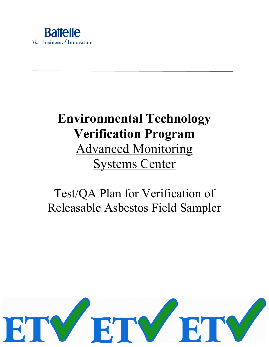

# **Environmental Technology Verification Program**  Advanced Monitoring Systems Center

# Test/QA Plan for Verification of Releasable Asbestos Field Sampler

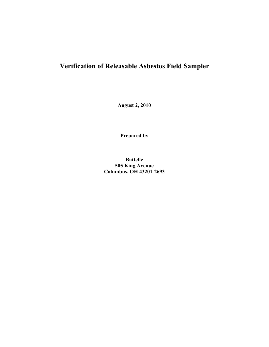# **Verification of Releasable Asbestos Field Sampler**

**August 2, 2010** 

**Prepared by**

**Battelle 505 King Avenue Columbus, OH 43201-2693**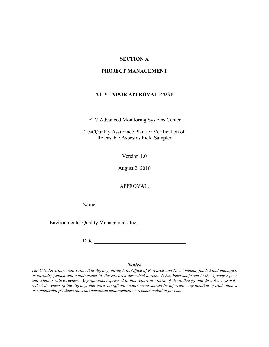## <span id="page-2-1"></span><span id="page-2-0"></span>**SECTION A**

#### **PROJECT MANAGEMENT**

#### **A1 VENDOR APPROVAL PAGE**

ETV Advanced Monitoring Systems Center

Test/Quality Assurance Plan for Verification of Releasable Asbestos Field Sampler

Version 1.0

August 2, 2010

APPROVAL:

 $Name \fbox{1}$ 

Environmental Quality Management, Inc.\_\_\_\_\_\_\_\_\_\_\_\_\_\_\_\_\_\_\_\_\_\_\_\_\_\_\_\_\_\_\_

Date \_\_\_\_\_\_\_\_\_\_\_\_\_\_\_\_\_\_\_\_\_\_\_\_\_\_\_\_\_\_\_\_\_\_\_

#### *Notice*

*The U.S. Environmental Protection Agency, through its Office of Research and Development, funded and managed, or partially funded and collaborated in, the research described herein. It has been subjected to the Agency's peer and administrative review. Any opinions expressed in this report are those of the author(s) and do not necessarily*  reflect the views of the Agency, therefore, no official endorsement should be inferred. Any mention of trade names *or commercial products does not constitute endorsement or recommendation for use.*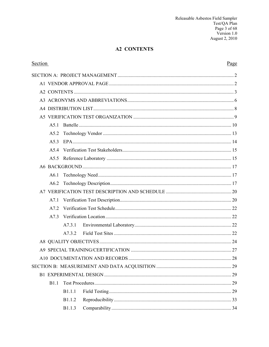# <span id="page-3-0"></span>**A2 CONTENTS**

| <b>Section</b>   |               | Page |  |  |
|------------------|---------------|------|--|--|
|                  |               |      |  |  |
|                  |               |      |  |  |
|                  |               |      |  |  |
|                  |               |      |  |  |
|                  |               |      |  |  |
|                  |               |      |  |  |
| A51              |               |      |  |  |
| A5.2             |               |      |  |  |
| A <sub>5</sub> 3 |               |      |  |  |
| A <sub>5</sub> 4 |               |      |  |  |
|                  |               |      |  |  |
|                  |               |      |  |  |
| A6.1             |               |      |  |  |
| A6.2             |               |      |  |  |
|                  |               |      |  |  |
| A7.1             |               |      |  |  |
| A7.2             |               |      |  |  |
| A7.3             |               |      |  |  |
|                  | A7.3.1        |      |  |  |
|                  | A732          |      |  |  |
|                  |               |      |  |  |
|                  |               |      |  |  |
|                  |               |      |  |  |
|                  |               |      |  |  |
|                  |               |      |  |  |
| <b>B</b> 1.1     |               |      |  |  |
|                  | <b>B1.1.1</b> |      |  |  |
|                  | B1.1.2        |      |  |  |
|                  | B1.1.3        |      |  |  |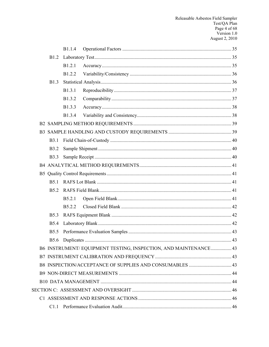|              | <b>B</b> 1.1.4     |                                                                 |  |
|--------------|--------------------|-----------------------------------------------------------------|--|
| <b>B</b> 1.2 |                    |                                                                 |  |
|              | B1.2.1             |                                                                 |  |
|              | B1.2.2             |                                                                 |  |
| <b>B</b> 1.3 |                    |                                                                 |  |
|              | B1.3.1             |                                                                 |  |
|              | B1.3.2             |                                                                 |  |
|              | B1.3.3             |                                                                 |  |
|              | B1.3.4             |                                                                 |  |
|              |                    |                                                                 |  |
|              |                    |                                                                 |  |
| <b>B</b> 3.1 |                    |                                                                 |  |
| <b>B</b> 3.2 |                    |                                                                 |  |
| <b>B</b> 3.3 |                    |                                                                 |  |
|              |                    |                                                                 |  |
|              |                    |                                                                 |  |
| <b>B5.1</b>  |                    |                                                                 |  |
| <b>B5.2</b>  |                    |                                                                 |  |
|              | B5.2.1             |                                                                 |  |
|              | B <sub>5.2.2</sub> |                                                                 |  |
| <b>B5.3</b>  |                    |                                                                 |  |
| <b>B5.4</b>  |                    |                                                                 |  |
| <b>B5.5</b>  |                    |                                                                 |  |
|              |                    |                                                                 |  |
|              |                    | B6 INSTRUMENT/EQUIPMENT TESTING, INSPECTION, AND MAINTENANCE 43 |  |
|              |                    |                                                                 |  |
|              |                    |                                                                 |  |
|              |                    |                                                                 |  |
|              |                    |                                                                 |  |
|              |                    |                                                                 |  |
|              |                    |                                                                 |  |
|              |                    |                                                                 |  |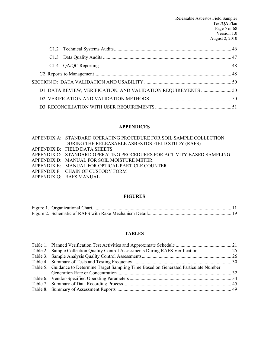#### **APPENDICES**

[APPENDIX A: STANDARD OPERATING PROCEDURE FOR SOIL SAMPLE COLLECTION](#page-52-0)  [DURING THE RELEASABLE ASBESTOS FIELD STUDY \(RAFS\)](#page-52-0) [APPENDIX B: FIELD DATA SHEETS](#page-59-0) [APPENDIX C: STANDARD OPERATING PROCEDURES FOR ACTIVITY](#page-61-0) BASED SAMPLING

- [APPENDIX D: MANUAL FOR SOIL MOISTURE METER](#page-62-0)
- [APPENDIX E: MANUAL FOR OPTICAL PARTICLE COUNTER](#page-63-0)
- [APPENDIX F: CHAIN OF CUSTODY FORM](#page-64-0)
- [APPENDIX G: RAFS MANUAL](#page-67-0)

#### **FIGURES**

#### **TABLES**

| Table 5. Guidance to Determine Target Sampling Time Based on Generated Particulate Number |  |
|-------------------------------------------------------------------------------------------|--|
|                                                                                           |  |
|                                                                                           |  |
|                                                                                           |  |
|                                                                                           |  |
|                                                                                           |  |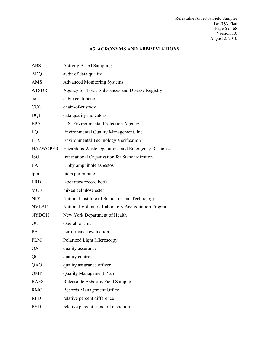# <span id="page-6-0"></span>**A3 ACRONYMS AND ABBREVIATIONS**

| <b>ABS</b>      | <b>Activity Based Sampling</b>                      |
|-----------------|-----------------------------------------------------|
| <b>ADQ</b>      | audit of data quality                               |
| AMS             | <b>Advanced Monitoring Systems</b>                  |
| <b>ATSDR</b>    | Agency for Toxic Substances and Disease Registry    |
| cc              | cubic centimeter                                    |
| <b>COC</b>      | chain-of-custody                                    |
| <b>DQI</b>      | data quality indicators                             |
| <b>EPA</b>      | U.S. Environmental Protection Agency                |
| EQ              | Environmental Quality Management, Inc.              |
| <b>ETV</b>      | <b>Environmental Technology Verification</b>        |
| <b>HAZWOPER</b> | Hazardous Waste Operations and Emergency Response   |
| <b>ISO</b>      | International Organization for Standardization      |
| LA              | Libby amphibole asbestos                            |
| lpm             | liters per minute                                   |
| <b>LRB</b>      | laboratory record book                              |
| <b>MCE</b>      | mixed cellulose ester                               |
| <b>NIST</b>     | National Institute of Standards and Technology      |
| <b>NVLAP</b>    | National Voluntary Laboratory Accreditation Program |
| <b>NYDOH</b>    | New York Department of Health                       |
| OU              | Operable Unit                                       |
| <b>PE</b>       | performance evaluation                              |
| <b>PLM</b>      | Polarized Light Microscopy                          |
| QA              | quality assurance                                   |
| QC              | quality control                                     |
| QAO             | quality assurance officer                           |
| QMP             | <b>Quality Management Plan</b>                      |
| <b>RAFS</b>     | Releasable Asbestos Field Sampler                   |
| <b>RMO</b>      | Records Management Office                           |
| <b>RPD</b>      | relative percent difference                         |
| <b>RSD</b>      | relative percent standard deviation                 |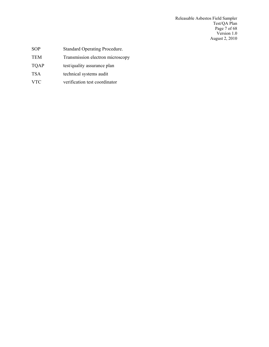Releasable Asbestos Field Sampler Test/QA Plan Page 7 of 68 Version 1.0 August 2, 2010

- SOP Standard Operating Procedure.
- TEM Transmission electron microscopy
- TQAP test/quality assurance plan
- TSA technical systems audit
- VTC verification test coordinator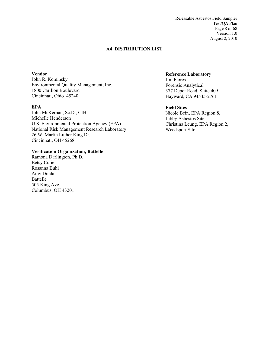Releasable Asbestos Field Sampler Test/QA Plan Page 8 of 68 Version 1.0 August 2, 2010

#### **A4 DISTRIBUTION LIST**

<span id="page-8-0"></span>**Vendor**

John R. Kominsky Environmental Quality Management, Inc. 1800 Carillon Boulevard Cincinnati, Ohio 45240

#### **EPA**

John McKernan, Sc.D., CIH Michelle Henderson U.S. Environmental Protection Agency (EPA) National Risk Management Research Laboratory 26 W. Martin Luther King Dr. Cincinnati, OH 45268

#### **Verification Organization, Battelle**

Ramona Darlington, Ph.D. Betsy Cutié Rosanna Buhl Amy Dindal Battelle 505 King Ave. Columbus, OH 43201

#### **Reference Laboratory**  Jim Flores Forensic Analytical 377 Depot Road, Suite 409 Hayward, CA 94545-2761

#### **Field Sites Sites**

Nicole Bein, EPA Region 8, Libby Asbestos Site Christina Leung, EPA Region 2, Weedsport Site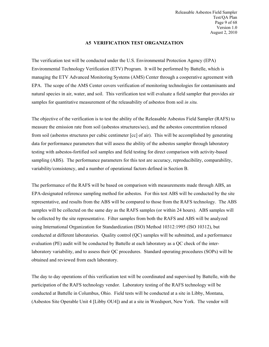#### <span id="page-9-0"></span>**A5 VERIFICATION TEST ORGANIZATION**

The verification test will be conducted under the U.S. Environmental Protection Agency (EPA) Environmental Technology Verification (ETV) Program. It will be performed by Battelle, which is managing the ETV Advanced Monitoring Systems (AMS) Center through a cooperative agreement with EPA. The scope of the AMS Center covers verification of monitoring technologies for contaminants and natural species in air, water, and soil. This verification test will evaluate a field sampler that provides air samples for quantitative measurement of the releasability of asbestos from soil *in situ.*

The objective of the verification is to test the ability of the Releasable Asbestos Field Sampler (RAFS) to measure the emission rate from soil (asbestos structures/sec), and the asbestos concentration released from soil (asbestos structures per cubic centimeter [cc] of air). This will be accomplished by generating data for performance parameters that will assess the ability of the asbestos sampler through laboratory testing with asbestos-fortified soil samples and field testing for direct comparison with activity-based sampling (ABS). The performance parameters for this test are accuracy, reproducibility, comparability, variability/consistency, and a number of operational factors defined in Section B.

The performance of the RAFS will be based on comparison with measurements made through ABS, an EPA-designated reference sampling method for asbestos. For this test ABS will be conducted by the site representative, and results from the ABS will be compared to those from the RAFS technology. The ABS samples will be collected on the same day as the RAFS samples (or within 24 hours). ABS samples will be collected by the site representative. Filter samples from both the RAFS and ABS will be analyzed using International Organization for Standardization (ISO) Method 10312:1995 (ISO 10312), but conducted at different laboratories. Quality control (QC) samples will be submitted, and a performance evaluation (PE) audit will be conducted by Battelle at each laboratory as a QC check of the interlaboratory variability, and to assess their QC procedures. Standard operating procedures (SOPs) will be obtained and reviewed from each laboratory.

The day to day operations of this verification test will be coordinated and supervised by Battelle, with the participation of the RAFS technology vendor. Laboratory testing of the RAFS technology will be conducted at Battelle in Columbus, Ohio. Field tests will be conducted at a site in Libby, Montana, (Asbestos Site Operable Unit 4 [Libby OU4]) and at a site in Weedsport, New York. The vendor will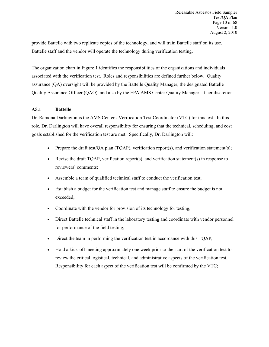provide Battelle with two replicate copies of the technology, and will train Battelle staff on its use. Battelle staff and the vendor will operate the technology during verification testing.

The organization chart in Figure 1 identifies the responsibilities of the organizations and individuals associated with the verification test. Roles and responsibilities are defined further below. Quality assurance (QA) oversight will be provided by the Battelle Quality Manager, the designated Battelle Quality Assurance Officer (QAO), and also by the EPA AMS Center Quality Manager, at her discretion.

#### <span id="page-10-0"></span>**A5.1 Battelle**

Dr. Ramona Darlington is the AMS Center's Verification Test Coordinator (VTC) for this test. In this role, Dr. Darlington will have overall responsibility for ensuring that the technical, scheduling, and cost goals established for the verification test are met. Specifically, Dr. Darlington will:

- Prepare the draft test/ $OA$  plan (TQAP), verification report(s), and verification statement(s);
- Revise the draft TQAP, verification report(s), and verification statement(s) in response to reviewers' comments;
- Assemble a team of qualified technical staff to conduct the verification test;
- Establish a budget for the verification test and manage staff to ensure the budget is not exceeded;
- Coordinate with the vendor for provision of its technology for testing;
- Direct Battelle technical staff in the laboratory testing and coordinate with vendor personnel for performance of the field testing;
- Direct the team in performing the verification test in accordance with this TQAP;
- Hold a kick-off meeting approximately one week prior to the start of the verification test to review the critical logistical, technical, and administrative aspects of the verification test. Responsibility for each aspect of the verification test will be confirmed by the VTC;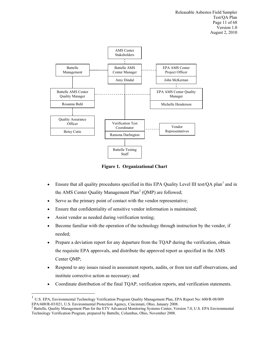Releasable Asbestos Field Sampler Test/QA Plan Page 11 of 68 Version 1.0 August 2, 2010



<span id="page-11-0"></span>**Figure 1. Organizational Chart**

- Ensure that all quality procedures specified in this EPA Quality Level III test/OA plan<sup>[1](#page-11-1)</sup> and in the AMS Center Quality Management  $Plan<sup>2</sup> (QMP)$  $Plan<sup>2</sup> (QMP)$  $Plan<sup>2</sup> (QMP)$  are followed;
- Serve as the primary point of contact with the vendor representative;
- Ensure that confidentiality of sensitive vendor information is maintained;
- Assist vendor as needed during verification testing;

 $\overline{a}$ 

- Become familiar with the operation of the technology through instruction by the vendor, if needed;
- Prepare a deviation report for any departure from the TOAP during the verification, obtain the requisite EPA approvals, and distribute the approved report as specified in the AMS Center QMP;
- Respond to any issues raised in assessment reports, audits, or from test staff observations, and institute corrective action as necessary; and
- Coordinate distribution of the final TQAP, verification reports, and verification statements.

<span id="page-11-1"></span><sup>&</sup>lt;sup>1</sup> U.S. EPA, Environmental Technology Verification Program Quality Management Plan, EPA Report No: 600/R-08/009

<span id="page-11-2"></span>EPA/600/R-03/021, U.S. Environmental Protection Agency, Cincinnati, Ohio, January 2008.<br><sup>2</sup> Battelle, Quality Management Plan for the ETV Advanced Monitoring Systems Center, Version 7.0, U.S. EPA Environmental Technology Verification Program, prepared by Battelle, Columbus, Ohio, November 2008.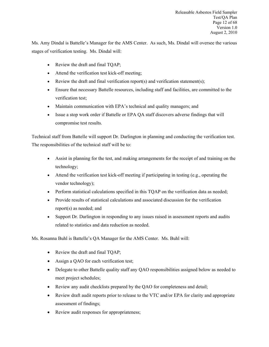Ms. Amy Dindal is Battelle's Manager for the AMS Center. As such, Ms. Dindal will oversee the various stages of verification testing. Ms. Dindal will:

- Review the draft and final TQAP;
- Attend the verification test kick-off meeting;
- Review the draft and final verification report(s) and verification statement(s);
- Ensure that necessary Battelle resources, including staff and facilities, are committed to the verification test;
- Maintain communication with EPA's technical and quality managers; and
- Issue a stop work order if Battelle or EPA QA staff discovers adverse findings that will compromise test results.

Technical staff from Battelle will support Dr. Darlington in planning and conducting the verification test. The responsibilities of the technical staff will be to:

- Assist in planning for the test, and making arrangements for the receipt of and training on the technology;
- Attend the verification test kick-off meeting if participating in testing (e.g., operating the vendor technology);
- Perform statistical calculations specified in this TQAP on the verification data as needed;
- Provide results of statistical calculations and associated discussion for the verification report(s) as needed; and
- Support Dr. Darlington in responding to any issues raised in assessment reports and audits related to statistics and data reduction as needed.

Ms. Rosanna Buhl is Battelle's QA Manager for the AMS Center. Ms. Buhl will:

- Review the draft and final TQAP;
- Assign a OAO for each verification test;
- Delegate to other Battelle quality staff any QAO responsibilities assigned below as needed to meet project schedules;
- Review any audit checklists prepared by the QAO for completeness and detail;
- Review draft audit reports prior to release to the VTC and/or EPA for clarity and appropriate assessment of findings;
- Review audit responses for appropriateness;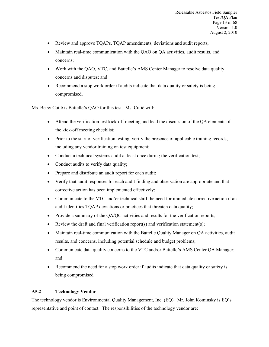- Review and approve TQAPs, TQAP amendments, deviations and audit reports;
- Maintain real-time communication with the QAO on QA activities, audit results, and concerns;
- Work with the QAO, VTC, and Battelle's AMS Center Manager to resolve data quality concerns and disputes; and
- Recommend a stop work order if audits indicate that data quality or safety is being compromised.

Ms. Betsy Cutié is Battelle's QAO for this test. Ms. Cutié will:

- Attend the verification test kick-off meeting and lead the discussion of the QA elements of the kick-off meeting checklist;
- Prior to the start of verification testing, verify the presence of applicable training records, including any vendor training on test equipment;
- Conduct a technical systems audit at least once during the verification test;
- Conduct audits to verify data quality;
- Prepare and distribute an audit report for each audit;
- Verify that audit responses for each audit finding and observation are appropriate and that corrective action has been implemented effectively;
- Communicate to the VTC and/or technical staff the need for immediate corrective action if an audit identifies TQAP deviations or practices that threaten data quality;
- Provide a summary of the QA/QC activities and results for the verification reports;
- Review the draft and final verification report(s) and verification statement(s);
- Maintain real-time communication with the Battelle Quality Manager on OA activities, audit results, and concerns, including potential schedule and budget problems;
- Communicate data quality concerns to the VTC and/or Battelle's AMS Center QA Manager; and
- <span id="page-13-0"></span>• Recommend the need for a stop work order if audits indicate that data quality or safety is being compromised.

#### **A5.2 Technology Vendor**

The technology vendor is Environmental Quality Management, Inc. (EQ). Mr. John Kominsky is EQ's representative and point of contact. The responsibilities of the technology vendor are: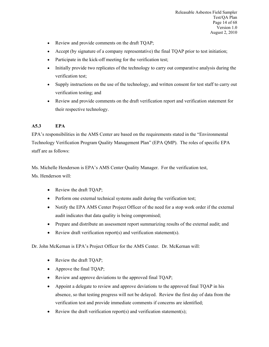- Review and provide comments on the draft TOAP;
- Accept (by signature of a company representative) the final TQAP prior to test initiation;
- Participate in the kick-off meeting for the verification test;
- Initially provide two replicates of the technology to carry out comparative analysis during the verification test;
- Supply instructions on the use of the technology, and written consent for test staff to carry out verification testing; and
- <span id="page-14-0"></span>• Review and provide comments on the draft verification report and verification statement for their respective technology.

## **A5.3 EPA**

EPA's responsibilities in the AMS Center are based on the requirements stated in the "Environmental Technology Verification Program Quality Management Plan" (EPA QMP). The roles of specific EPA staff are as follows:

Ms. Michelle Henderson is EPA's AMS Center Quality Manager. For the verification test, Ms. Henderson will:

- Review the draft TQAP;
- Perform one external technical systems audit during the verification test;
- Notify the EPA AMS Center Project Officer of the need for a stop work order if the external audit indicates that data quality is being compromised;
- Prepare and distribute an assessment report summarizing results of the external audit; and
- Review draft verification report(s) and verification statement(s).

Dr. John McKernan is EPA's Project Officer for the AMS Center. Dr. McKernan will:

- Review the draft TQAP;
- Approve the final TQAP;
- Review and approve deviations to the approved final TQAP;
- Appoint a delegate to review and approve deviations to the approved final TQAP in his absence, so that testing progress will not be delayed. Review the first day of data from the verification test and provide immediate comments if concerns are identified;
- Review the draft verification report(s) and verification statement(s);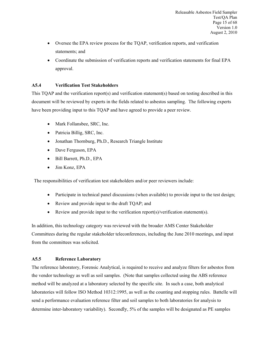- Oversee the EPA review process for the TQAP, verification reports, and verification statements; and
- <span id="page-15-0"></span>• Coordinate the submission of verification reports and verification statements for final EPA approval.

#### **A5.4 Verification Test Stakeholders**

This TQAP and the verification report(s) and verification statement(s) based on testing described in this document will be reviewed by experts in the fields related to asbestos sampling. The following experts have been providing input to this TQAP and have agreed to provide a peer review.

- Mark Follansbee, SRC, Inc.
- Patricia Billig, SRC, Inc.
- Jonathan Thornburg, Ph.D., Research Triangle Institute
- Dave Ferguson, EPA
- Bill Barrett, Ph.D., EPA
- Jim Konz, EPA

The responsibilities of verification test stakeholders and/or peer reviewers include:

- Participate in technical panel discussions (when available) to provide input to the test design;
- Review and provide input to the draft TQAP; and
- Review and provide input to the verification report(s)/verification statement(s).

In addition, this technology category was reviewed with the broader AMS Center Stakeholder Committees during the regular stakeholder teleconferences, including the June 2010 meetings, and input from the committees was solicited.

#### <span id="page-15-1"></span>**A5.5 Reference Laboratory**

The reference laboratory, Forensic Analytical, is required to receive and analyze filters for asbestos from the vendor technology as well as soil samples. (Note that samples collected using the ABS reference method will be analyzed at a laboratory selected by the specific site. In such a case, both analytical laboratories will follow ISO Method 10312:1995, as well as the counting and stopping rules. Battelle will send a performance evaluation reference filter and soil samples to both laboratories for analysis to determine inter-laboratory variability). Secondly, 5% of the samples will be designated as PE samples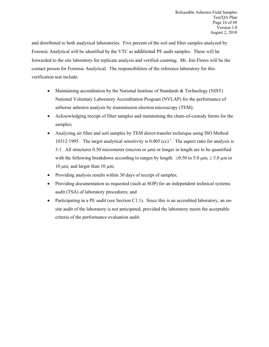and distributed to both analytical laboratories. Five percent of the soil and filter samples analyzed by Forensic Analytical will be identified by the VTC as additional PE audit samples. These will be forwarded to the site laboratory for replicate analysis and verified counting. Mr. Jim Flores will be the contact person for Forensic Analytical. The responsibilities of the reference laboratory for this verification test include:

- Maintaining accreditation by the National Institute of Standards & Technology (NIST) National Voluntary Laboratory Accreditation Program (NVLAP) for the performance of airborne asbestos analysis by transmission electron microscopy (TEM);
- Acknowledging receipt of filter samples and maintaining the chain-of-custody forms for the samples;
- Analyzing air filter and soil samples by TEM direct-transfer technique using ISO Method 10312:1995. The target analytical sensitivity is  $0.005$  (cc)<sup>-1</sup>. The aspect ratio for analysis is 3:1. All structures 0.50 micrometer (micron or µm) or longer in length are to be quantified with the following breakdown according to ranges by length:  $\geq 0.50$  to 5.0 µm;  $\geq 5.0$  µm to 10  $\mu$ m; and larger than 10  $\mu$ m;
- Providing analysis results within 30 days of receipt of samples;
- Providing documentation as requested (such as SOP) for an independent technical systems audit (TSA) of laboratory procedures; and
- Participating in a PE audit (see Section C1.1). Since this is an accredited laboratory, an onsite audit of the laboratory is not anticipated, provided the laboratory meets the acceptable criteria of the performance evaluation audit.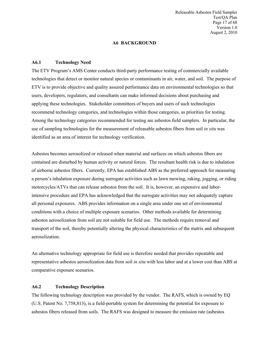<span id="page-17-0"></span>Releasable Asbestos Field Sampler Test/QA Plan Page 17 of 68 Version 1.0 August 2, 2010

#### <span id="page-17-1"></span>**A6 BACKGROUND**

#### **A6.1 Technology Need**

The ETV Program's AMS Center conducts third-party performance testing of commercially available technologies that detect or monitor natural species or contaminants in air, water, and soil. The purpose of ETV is to provide objective and quality assured performance data on environmental technologies so that users, developers, regulators, and consultants can make informed decisions about purchasing and applying these technologies. Stakeholder committees of buyers and users of such technologies recommend technology categories, and technologies within those categories, as priorities for testing. Among the technology categories recommended for testing are asbestos field samplers. In particular, the use of sampling technologies for the measurement of releasable asbestos fibers from soil *in situ* was identified as an area of interest for technology verification.

Asbestos becomes aerosolized or released when material and surfaces on which asbestos fibers are contained are disturbed by human activity or natural forces. The resultant health risk is due to inhalation of airborne asbestos fibers. Currently, EPA has established ABS as the preferred approach for measuring a person's inhalation exposure during surrogate activities such as lawn mowing, raking, jogging, or riding motorcycles/ATVs that can release asbestos from the soil. It is, however, an expensive and laborintensive procedure and EPA has acknowledged that the surrogate activities may not adequately capture all personal exposures. ABS provides information on a single area under one set of environmental conditions with a choice of multiple exposure scenarios. Other methods available for determining asbestos aerosolization from soil are not suitable for field use. The methods require removal and transport of the soil, thereby potentially altering the physical characteristics of the matrix and subsequent aerosolization.

An alternative technology appropriate for field use is therefore needed that provides repeatable and representative asbestos aerosolization data from soil *in situ* with less labor and at a lower cost than ABS at comparative exposure scenarios.

#### <span id="page-17-2"></span>**A6.2 Technology Description**

The following technology description was provided by the vendor. The RAFS, which is owned by EQ (U.S. Patent No. 7,758,813), is a field-portable system for determining the potential for exposure to asbestos fibers released from soils. The RAFS was designed to measure the emission rate (asbestos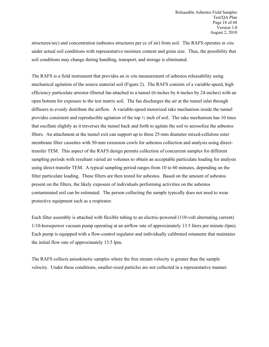structures/sec) and concentration (asbestos structures per cc of air) from soil. The RAFS operates *in situ* under actual soil conditions with representative moisture content and grain size. Thus, the possibility that soil conditions may change during handling, transport, and storage is eliminated.

The RAFS is a field instrument that provides an *in situ* measurement of asbestos releasability using mechanical agitation of the source material soil (Figure 2). The RAFS consists of a variable-speed, high efficiency particulate arrestor-filtered fan attached to a tunnel (6-inches by 6-inches by 24-inches) with an open bottom for exposure to the test matrix soil. The fan discharges the air at the tunnel inlet through diffusers to evenly distribute the airflow. A variable-speed motorized rake mechanism inside the tunnel provides consistent and reproducible agitation of the top ½ inch of soil. The rake mechanism has 10 tines that oscillate slightly as it traverses the tunnel back and forth to agitate the soil to aerosolize the asbestos fibers. An attachment at the tunnel exit can support up to three 25-mm diameter mixed-cellulose ester membrane filter cassettes with 50-mm extension cowls for asbestos collection and analysis using directtransfer TEM. This aspect of the RAFS design permits collection of concurrent samples for different sampling periods with resultant varied air volumes to obtain an acceptable particulate loading for analysis using direct-transfer TEM. A typical sampling period ranges from 10 to 60 minutes, depending on the filter particulate loading. These filters are then tested for asbestos. Based on the amount of asbestos present on the filters, the likely exposure of individuals performing activities on the asbestos contaminated soil can be estimated. The person collecting the sample typically does not need to wear protective equipment such as a respirator.

Each filter assembly is attached with flexible tubing to an electric-powered (110-volt alternating current) 1/10-horsepower vacuum pump operating at an airflow rate of approximately 13.5 liters per minute (lpm). Each pump is equipped with a flow-control regulator and individually calibrated rotameter that maintains the initial flow rate of approximately 13.5 lpm.

The RAFS collects anisokinetic samples where the free stream velocity is greater than the sample velocity. Under these conditions, smaller-sized particles are not collected in a representative manner.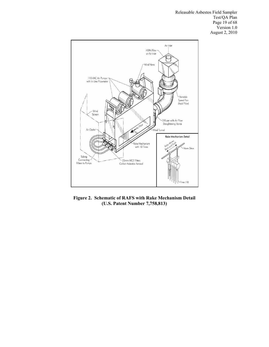Releasable Asbestos Field Sampler Test/QA Plan Page 19 of 68 Version 1.0 August 2, 2010



<span id="page-19-0"></span>**Figure 2. Schematic of RAFS with Rake Mechanism Detail (U.S. Patent Number 7,758,813)**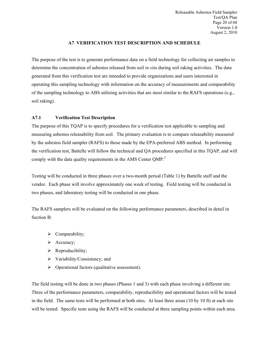<span id="page-20-0"></span>Releasable Asbestos Field Sampler Test/QA Plan Page 20 of 68 Version 1.0 August 2, 2010

#### **A7 VERIFICATION TEST DESCRIPTION AND SCHEDULE**

The purpose of the test is to generate performance data on a field technology for collecting air samples to determine the concentration of asbestos released from soil *in situ* during soil raking activities. The data generated from this verification test are intended to provide organizations and users interested in operating this sampling technology with information on the accuracy of measurements and comparability of the sampling technology to ABS utilizing activities that are most similar to the RAFS operations (e.g., soil raking).

#### <span id="page-20-1"></span>**A7.1 Verification Test Description**

The purpose of this TQAP is to specify procedures for a verification test applicable to sampling and measuring asbestos releasability from soil. The primary evaluation is to compare releasability measured by the asbestos field sampler (RAFS) to those made by the EPA-preferred ABS method. In performing the verification test, Battelle will follow the technical and QA procedures specified in this TQAP, and will comply with the data quality requirements in the AMS Center QMP.<sup>2</sup>

Testing will be conducted in three phases over a two-month period (Table 1) by Battelle staff and the vendor. Each phase will involve approximately one week of testing. Field testing will be conducted in two phases, and laboratory testing will be conducted in one phase.

The RAFS samplers will be evaluated on the following performance parameters, described in detail in Section B:

- $\triangleright$  Comparability;
- $\triangleright$  Accuracy;
- $\triangleright$  Reproducibility;
- $\triangleright$  Variability/Consistency; and
- $\triangleright$  Operational factors (qualitative assessment).

The field testing will be done in two phases (Phases 1 and 3) with each phase involving a different site. Three of the performance parameters, comparability, reproducibility and operational factors will be tested in the field. The same tests will be performed at both sites. At least three areas (10 by 10 ft) at each site will be tested. Specific tests using the RAFS will be conducted at three sampling points within each area.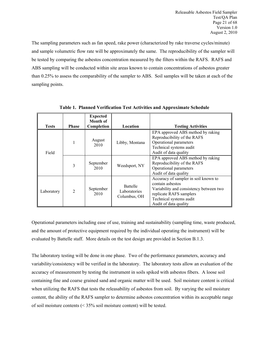The sampling parameters such as fan speed, rake power (characterized by rake traverse cycles/minute) and sample volumetric flow rate will be approximately the same. The reproducibility of the sampler will be tested by comparing the asbestos concentration measured by the filters within the RAFS. RAFS and ABS sampling will be conducted within site areas known to contain concentrations of asbestos greater than 0.25% to assess the comparability of the sampler to ABS. Soil samples will be taken at each of the sampling points.

|              |                | <b>Expected</b><br>Month of |                                                 |                                                                                                                                                                                    |
|--------------|----------------|-----------------------------|-------------------------------------------------|------------------------------------------------------------------------------------------------------------------------------------------------------------------------------------|
| <b>Tests</b> | <b>Phase</b>   | Completion                  | Location                                        | <b>Testing Activities</b>                                                                                                                                                          |
| Field        |                | August<br>2010              | Libby, Montana                                  | EPA approved ABS method by raking<br>Reproducibility of the RAFS<br>Operational parameters<br>Technical systems audit<br>Audit of data quality                                     |
|              | 3              | September<br>2010           | Weedsport, NY                                   | EPA approved ABS method by raking<br>Reproducibility of the RAFS<br>Operational parameters<br>Audit of data quality                                                                |
| Laboratory   | $\overline{2}$ | September<br>2010           | <b>Battelle</b><br>Laboratories<br>Columbus, OH | Accuracy of sampler in soil known to<br>contain asbestos<br>Variability and consistency between two<br>replicate RAFS samplers<br>Technical systems audit<br>Audit of data quality |

<span id="page-21-0"></span>**Table 1. Planned Verification Test Activities and Approximate Schedule**

Operational parameters including ease of use, training and sustainability (sampling time, waste produced, and the amount of protective equipment required by the individual operating the instrument) will be evaluated by Battelle staff. More details on the test design are provided in Section B.1.3.

The laboratory testing will be done in one phase. Two of the performance parameters, accuracy and variability/consistency will be verified in the laboratory. The laboratory tests allow an evaluation of the accuracy of measurement by testing the instrument in soils spiked with asbestos fibers. A loose soil containing fine and coarse grained sand and organic matter will be used. Soil moisture content is critical when utilizing the RAFS that tests the releasability of asbestos from soil. By varying the soil moisture content, the ability of the RAFS sampler to determine asbestos concentration within its acceptable range of soil moisture contents (< 35% soil moisture content) will be tested.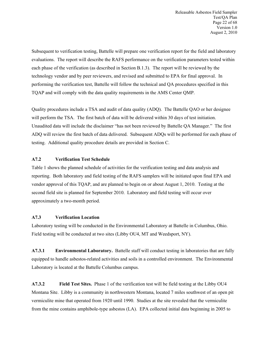Subsequent to verification testing, Battelle will prepare one verification report for the field and laboratory evaluations. The report will describe the RAFS performance on the verification parameters tested within each phase of the verification (as described in Section B.1.3). The report will be reviewed by the technology vendor and by peer reviewers, and revised and submitted to EPA for final approval. In performing the verification test, Battelle will follow the technical and QA procedures specified in this TQAP and will comply with the data quality requirements in the AMS Center QMP.

Quality procedures include a TSA and audit of data quality (ADQ). The Battelle QAO or her designee will perform the TSA. The first batch of data will be delivered within 30 days of test initiation. Unaudited data will include the disclaimer "has not been reviewed by Battelle QA Manager." The first ADQ will review the first batch of data delivered. Subsequent ADQs will be performed for each phase of testing. Additional quality procedure details are provided in Section C.

#### <span id="page-22-0"></span>**A7.2 Verification Test Schedule**

Table 1 shows the planned schedule of activities for the verification testing and data analysis and reporting. Both laboratory and field testing of the RAFS samplers will be initiated upon final EPA and vendor approval of this TQAP, and are planned to begin on or about August 1, 2010. Testing at the second field site is planned for September 2010. Laboratory and field testing will occur over approximately a two-month period.

#### <span id="page-22-1"></span>**A7.3 Verification Location**

Laboratory testing will be conducted in the Environmental Laboratory at Battelle in Columbus, Ohio. Field testing will be conducted at two sites (Libby OU4, MT and Weedsport, NY).

<span id="page-22-2"></span>**A7.3.1 Environmental Laboratory.** Battelle staff will conduct testing in laboratories that are fully equipped to handle asbestos-related activities and soils in a controlled environment. The Environmental Laboratory is located at the Battelle Columbus campus.

<span id="page-22-3"></span>**A7.3.2 Field Test Sites.** Phase 1 of the verification test will be field testing at the Libby OU4 Montana Site. Libby is a community in northwestern Montana, located 7 miles southwest of an open pit vermiculite mine that operated from 1920 until 1990. Studies at the site revealed that the vermiculite from the mine contains amphibole-type asbestos (LA). EPA collected initial data beginning in 2005 to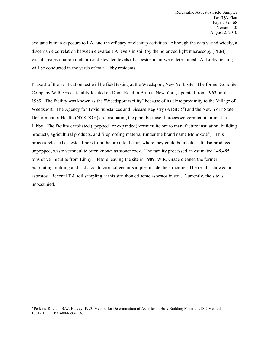evaluate human exposure to LA, and the efficacy of cleanup activities. Although the data varied widely, a discernable correlation between elevated LA levels in soil (by the polarized light microscopy [PLM] visual area estimation method) and elevated levels of asbestos in air were determined. At Libby, testing will be conducted in the yards of four Libby residents.

Phase 3 of the verification test will be field testing at the Weedsport, New York site. The former Zonolite Company/W.R. Grace facility located on Dunn Road in Brutus, New York, operated from 1963 until 1989. The facility was known as the "Weedsport facility" because of its close proximity to the Village of Weedsport. The Agency for Toxic Substances and Disease Registry (ATSDR<sup>[3](#page-23-0)</sup>) and the New York State Department of Health (NYSDOH) are evaluating the plant because it processed vermiculite mined in Libby. The facility exfoliated ("popped" or expanded) vermiculite ore to manufacture insulation, building products, agricultural products, and fireproofing material (under the brand name Monokote®). This process released asbestos fibers from the ore into the air, where they could be inhaled. It also produced unpopped, waste vermiculite often known as stoner rock. The facility processed an estimated 148,485 tons of vermiculite from Libby. Before leaving the site in 1989, W.R. Grace cleaned the former exfoliating building and had a contractor collect air samples inside the structure. The results showed no asbestos. Recent EPA soil sampling at this site showed some asbestos in soil. Currently, the site is unoccupied.

<span id="page-23-0"></span> $\overline{a}$ <sup>3</sup> Perkins, R.L and B.W. Harvey. 1993. Method for Determination of Asbestos in Bulk Building Materials. ISO Method 10312:1995 EPA/600/R-93/116.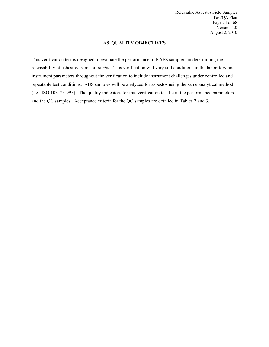<span id="page-24-0"></span>Releasable Asbestos Field Sampler Test/QA Plan Page 24 of 68 Version 1.0 August 2, 2010

#### **A8 QUALITY OBJECTIVES**

This verification test is designed to evaluate the performance of RAFS samplers in determining the releasability of asbestos from soil *in situ*. This verification will vary soil conditions in the laboratory and instrument parameters throughout the verification to include instrument challenges under controlled and repeatable test conditions. ABS samples will be analyzed for asbestos using the same analytical method (i.e., ISO 10312:1995). The quality indicators for this verification test lie in the performance parameters and the QC samples. Acceptance criteria for the QC samples are detailed in Tables 2 and 3.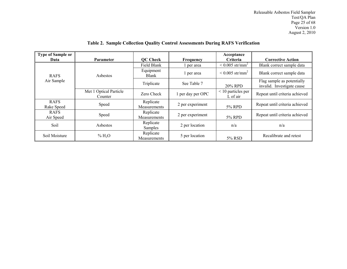| <b>Type of Sample or</b><br>Data | <b>Parameter</b>                                        | QC Check                  | Frequency         | Acceptance<br><b>Criteria</b>       | <b>Corrective Action</b>                                 |
|----------------------------------|---------------------------------------------------------|---------------------------|-------------------|-------------------------------------|----------------------------------------------------------|
|                                  |                                                         | Field Blank               | per area          | $\leq 0.005$ str/mm <sup>2</sup>    | Blank correct sample data                                |
| <b>RAFS</b>                      | Aspestos<br><b>Optical Particle</b><br>Met 1<br>Counter | Equipment<br><b>Blank</b> | per area          | $\leq 0.005$ str/mm <sup>2</sup>    | Blank correct sample data                                |
| Air Sample                       |                                                         | Triplicate                | See Table 7       | 20% RPD                             | Flag sample as potentially<br>invalid. Investigate cause |
|                                  |                                                         | Zero Check                | 1 per day per OPC | $\leq$ 10 particles per<br>L of air | Repeat until criteria achieved                           |
| <b>RAFS</b><br>Rake Speed        | Speed                                                   | Replicate<br>Measurements | 2 per experiment  | 5% RPD                              | Repeat until criteria achieved                           |
| <b>RAFS</b><br>Air Speed         | Speed                                                   | Replicate<br>Measurements | 2 per experiment  | 5% RPD                              | Repeat until criteria achieved                           |
| Soil                             | <b>A</b> sbestos                                        | Replicate<br>Samples      | 2 per location    | n/a                                 | n/a                                                      |
| Soil Moisture                    | % H <sub>2</sub> O                                      | Replicate<br>Measurements | 5 per location    | 5% RSD                              | Recalibrate and retest                                   |

# <span id="page-25-0"></span>**Table 2. Sample Collection Quality Control Assessments During RAFS Verification**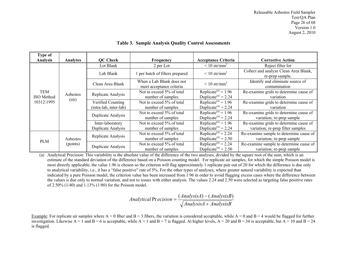| Type of<br><b>Analysis</b>      | <b>Analytes</b>   | <b>QC Check</b>    | <b>Frequency</b>                                      | <b>Acceptance Criteria</b>                                         | <b>Corrective Action</b>                                             |                                                                     |
|---------------------------------|-------------------|--------------------|-------------------------------------------------------|--------------------------------------------------------------------|----------------------------------------------------------------------|---------------------------------------------------------------------|
|                                 |                   | Lot Blank          | 2 per Lot                                             | $\leq 10$ str/mm <sup>2</sup>                                      | Reject filter lot                                                    |                                                                     |
|                                 |                   | Lab Blank          | 1 per batch of filters prepared                       | $\leq 10$ str/mm <sup>2</sup>                                      | Collect and analyze Clean Area Blank,<br>re-prep sample.             |                                                                     |
| TEM<br>ISO Method<br>10312:1995 |                   | Clean Area Blank   | When a Lab Blank does not<br>meet acceptance criteria | $\rm < 10 \text{ str/mm}^2$                                        | Identify and eliminate source of<br>contamination                    |                                                                     |
|                                 | Asbestos<br>(str) | Replicate Analysis | Not to exceed 5% of total<br>number of samples        | Replicate <sup>(a)</sup> = 1.96<br>Duplicate <sup>(a)</sup> = 2.24 | Re-examine grids to determine cause of<br>variation                  |                                                                     |
|                                 |                   | Verified Counting  | Not to exceed 5% of total                             | Replicate <sup>(a)</sup> = 1.96                                    | Re-examine grids to determine cause of                               |                                                                     |
|                                 |                   |                    | (intra-lab, inter-lab)                                | number of samples                                                  | Duplicate <sup>(a)</sup> = 2.24                                      | variation                                                           |
|                                 |                   |                    | Duplicate Analysis                                    | Not to exceed 5% of total<br>number of samples                     | Replicate <sup>(a)</sup> = $1.96$<br>Duplicate <sup>(a)</sup> = 2.24 | Re-examine grids to determine cause of<br>variation; re-prep sample |
|                                 |                   | Inter-laboratory   | Not to exceed 5% of total                             | Replicate <sup>(a)</sup> = 1.96                                    | Re-examine grids to determine cause of                               |                                                                     |
|                                 |                   | Duplicate Analysis | number of samples                                     | Duplicate <sup>(a)</sup> = 2.24                                    | variation; re-prep filter samples                                    |                                                                     |
|                                 |                   | Replicate Analysis | Not to exceed 5% of total                             | Replicate <sup>(a)</sup> = 2.24                                    | Re-examine sample to determine cause of                              |                                                                     |
| <b>PLM</b>                      | Asbestos          |                    | number of samples                                     | Duplicate <sup>(a)</sup> = 2.50                                    | variation; re-prep sample                                            |                                                                     |
|                                 | (points)          | Duplicate Analysis | Not to exceed 5% of total                             | Replicate <sup>(a)</sup> = $2.\overline{24}$                       | Re-examine sample to determine cause of                              |                                                                     |
|                                 |                   |                    | number of samples                                     | Duplicate <sup>(a)</sup> = 2.50                                    | variation; re-prep sample                                            |                                                                     |

**Table 3. Sample Analysis Quality Control Assessments**

(a) Analytical Precision: This variability is the absolute value of the difference of the two analyses, divided by the square root of the sum, which is an estimate of the standard deviation of the difference based on a Poisson counting model. For replicate air samples, for which the simple Poisson model is most directly applicable, the value 1.96 is chosen so the criterion will flag approximately 1 replicate pair out of 20 for which the difference is due only to analytical variability, i.e., it has a "false positive" rate of 5%. For the other types of analyses, where greater natural variability is expected than indicated by a pure Poisson model, the criterion value has been increased from 1.96 in order to avoid flagging excess cases where the difference between the values is due only to normal variation, and not to issues with either analysis. The values 2.24 and 2.50 were selected as targeting false positive rates of 2.50% (1/40) and 1.13% (1/80) for the Poisson model.

> <span id="page-26-0"></span>*AnalysisA AnalysisB AnalysisA AnalysisB Analytical ecision* +  $\text{Pr}\,ecision = \frac{(AnalysisA) - (AnalysisB)}{ \boxed{\qquad \qquad }}$

Example: For replicate air samples where  $A = 0$  fiber and  $B = 3$  fibers, the variation is considered acceptable, while  $A = 0$  and  $B = 4$  would be flagged for further investigation. Likewise  $A = 1$  and  $B = 6$  is acceptable, while  $A = 1$  and  $B = 7$  is flagged. At higher levels,  $A = 20$  and  $B = 34$  is acceptable, but  $A = 10$  and  $B = 24$ is flagged.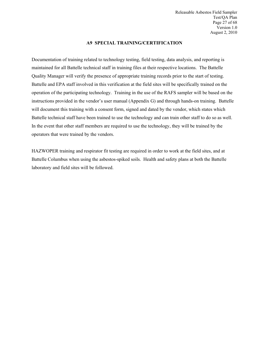<span id="page-27-0"></span>Releasable Asbestos Field Sampler Test/QA Plan Page 27 of 68 Version 1.0 August 2, 2010

#### **A9 SPECIAL TRAINING/CERTIFICATION**

Documentation of training related to technology testing, field testing, data analysis, and reporting is maintained for all Battelle technical staff in training files at their respective locations. The Battelle Quality Manager will verify the presence of appropriate training records prior to the start of testing. Battelle and EPA staff involved in this verification at the field sites will be specifically trained on the operation of the participating technology. Training in the use of the RAFS sampler will be based on the instructions provided in the vendor's user manual (Appendix G) and through hands-on training. Battelle will document this training with a consent form, signed and dated by the vendor, which states which Battelle technical staff have been trained to use the technology and can train other staff to do so as well. In the event that other staff members are required to use the technology, they will be trained by the operators that were trained by the vendors.

HAZWOPER training and respirator fit testing are required in order to work at the field sites, and at Battelle Columbus when using the asbestos-spiked soils. Health and safety plans at both the Battelle laboratory and field sites will be followed.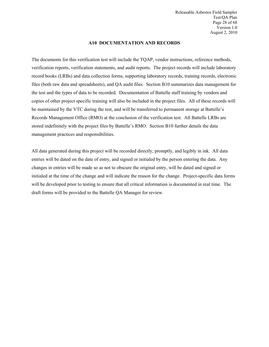<span id="page-28-0"></span>Releasable Asbestos Field Sampler Test/QA Plan Page 28 of 68 Version 1.0 August 2, 2010

#### **A10 DOCUMENTATION AND RECORDS**

The documents for this verification test will include the TQAP, vendor instructions, reference methods, verification reports, verification statements, and audit reports. The project records will include laboratory record books (LRBs) and data collection forms, supporting laboratory records, training records, electronic files (both raw data and spreadsheets), and QA audit files. Section B10 summarizes data management for the test and the types of data to be recorded. Documentation of Battelle staff training by vendors and copies of other project specific training will also be included in the project files. All of these records will be maintained by the VTC during the test, and will be transferred to permanent storage at Battelle's Records Management Office (RMO) at the conclusion of the verification test. All Battelle LRBs are stored indefinitely with the project files by Battelle's RMO. Section B10 further details the data management practices and responsibilities.

All data generated during this project will be recorded directly, promptly, and legibly in ink. All data entries will be dated on the date of entry, and signed or initialed by the person entering the data. Any changes in entries will be made so as not to obscure the original entry, will be dated and signed or initialed at the time of the change and will indicate the reason for the change. Project-specific data forms will be developed prior to testing to ensure that all critical information is documented in real time. The draft forms will be provided to the Battelle QA Manager for review.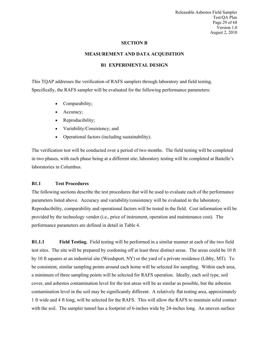Releasable Asbestos Field Sampler Test/QA Plan Page 29 of 68 Version 1.0 August 2, 2010

#### <span id="page-29-1"></span><span id="page-29-0"></span>**SECTION B**

#### **MEASUREMENT AND DATA ACQUISITION**

#### **B1 EXPERIMENTAL DESIGN**

This TQAP addresses the verification of RAFS samplers through laboratory and field testing. Specifically, the RAFS sampler will be evaluated for the following performance parameters:

- Comparability;
- Accuracy;
- Reproducibility;
- Variability/Consistency; and
- Operational factors (including sustainability).

The verification test will be conducted over a period of two months. The field testing will be completed in two phases, with each phase being at a different site; laboratory testing will be completed at Battelle's laboratories in Columbus.

#### <span id="page-29-2"></span>**B1.1 Test Procedures**

The following sections describe the test procedures that will be used to evaluate each of the performance parameters listed above. Accuracy and variability/consistency will be evaluated in the laboratory. Reproducibility, comparability and operational factors will be tested in the field. Cost information will be provided by the technology vendor (i.e., price of instrument, operation and maintenance cost). The performance parameters are defined in detail in Table 4.

<span id="page-29-3"></span>**B1.1.1 Field Testing.** Field testing will be performed in a similar manner at each of the two field test sites. The site will be prepared by cordoning off at least three distinct areas. The areas could be 10 ft by 10 ft squares at an industrial site (Weedsport, NY) or the yard of a private residence (Libby, MT). To be consistent, similar sampling points around each home will be selected for sampling. Within each area, a minimum of three sampling points will be selected for RAFS operation. Ideally, each soil type, soil cover, and asbestos contamination level for the test areas will be as similar as possible, but the asbestos contamination level in the soil may be significantly different. A relatively flat testing area, approximately 1 ft wide and 4 ft long, will be selected for the RAFS. This will allow the RAFS to maintain solid contact with the soil. The sampler tunnel has a footprint of 6-inches wide by 24-inches long. An uneven surface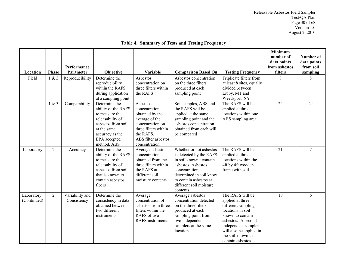| Location                  | <b>Phase</b>   | Performance<br>Parameter       | Objective                                                                                                                                                         | Variable                                                                                                                                                        | <b>Comparison Based On</b>                                                                                                                                                                                       | <b>Testing Frequency</b>                                                                                                                                                                                             | <b>Minimum</b><br>number of<br>data points<br>from asbestos<br>filters | Number of<br>data points<br>from soil<br>sampling |
|---------------------------|----------------|--------------------------------|-------------------------------------------------------------------------------------------------------------------------------------------------------------------|-----------------------------------------------------------------------------------------------------------------------------------------------------------------|------------------------------------------------------------------------------------------------------------------------------------------------------------------------------------------------------------------|----------------------------------------------------------------------------------------------------------------------------------------------------------------------------------------------------------------------|------------------------------------------------------------------------|---------------------------------------------------|
| Field                     | 1 & 3          | Reproducibility                | Determine the<br>reproducibility<br>within the RAFS<br>during application<br>at a sampling point                                                                  | Asbestos<br>concentration on<br>three filters within<br>the RAFS                                                                                                | Asbestos concentration<br>on the three filters<br>produced at each<br>sampling point                                                                                                                             | Triplicate filters from<br>at least 8 sites, equally<br>divided between<br>Libby, MT and<br>Weedsport, NY                                                                                                            | 8                                                                      | 8                                                 |
|                           | 1 & 3          | Comparability                  | Determine the<br>ability of the RAFS<br>to measure the<br>releasability of<br>asbestos from soil<br>at the same<br>accuracy as the<br>EPA accepted<br>method, ABS | Asbestos<br>concentration<br>obtained by the<br>average of the<br>concentration on<br>three filters within<br>the RAFS.<br>ABS filter asbestos<br>concentration | Soil samples, ABS and<br>the RAFS will be<br>applied at the same<br>sampling point and the<br>asbestos concentration<br>obtained from each will<br>be compared                                                   | The RAFS will be<br>applied at three<br>locations within one<br>ABS sampling area                                                                                                                                    | 24                                                                     | 24                                                |
| Laboratory                | $\overline{2}$ | Accuracy                       | Determine the<br>ability of the RAFS<br>to measure the<br>releasability of<br>asbestos from soil<br>that is known to<br>contain asbestos<br>fibers                | Average asbestos<br>concentration<br>obtained from the<br>three filters within<br>the RAFS at<br>different soil<br>moisture contents                            | Whether or not asbestos<br>is detected by the RAFS<br>in soil known t contain<br>asbestos. Asbestos<br>concentration<br>determined in soil know<br>to contain asbestos at<br>different soil moisture<br>contents | The RAFS will be<br>applied at three<br>locations within the<br>4ft by 4ft wooden<br>frame with soil                                                                                                                 | 21                                                                     | $\overline{7}$                                    |
| Laboratory<br>(Continued) | $\overline{2}$ | Variability and<br>Consistency | Determine the<br>consistency in data<br>obtained between<br>two different<br>instruments                                                                          | Average<br>concentration of<br>asbestos from three<br>filters within the<br>RAFS of two<br><b>RAFS</b> instruments                                              | Average asbestos<br>concentration detected<br>on the three filters<br>produced at each<br>sampling point from<br>two independent<br>samplers at the same<br>location                                             | The RAFS will be<br>applied at three<br>different sampling<br>locations in soil<br>known to contain<br>asbestos. A second<br>independent sampler<br>will also be applied in<br>the soil known to<br>contain asbestos | $\overline{18}$                                                        | 6                                                 |

# <span id="page-30-0"></span>**Table 4. Summary of Tests and Testing Frequency**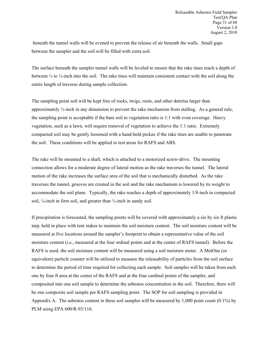beneath the tunnel walls will be evened to prevent the release of air beneath the walls. Small gaps between the sampler and the soil will be filled with extra soil.

The surface beneath the sampler tunnel walls will be leveled to ensure that the rake tines reach a depth of between  $\frac{1}{4}$  to  $\frac{3}{4}$ -inch into the soil. The rake tines will maintain consistent contact with the soil along the entire length of traverse during sample collection.

The sampling point soil will be kept free of rocks, twigs, roots, and other detritus larger than approximately  $\frac{1}{2}$ -inch in any dimension to prevent the rake mechanism from stalling. As a general rule, the sampling point is acceptable if the bare soil to vegetation ratio is 1:1 with even coverage. Heavy vegetation, such as a lawn, will require removal of vegetation to achieve the 1:1 ratio. Extremely compacted soil may be gently loosened with a hand-held pickax if the rake tines are unable to penetrate the soil. These conditions will be applied to test areas for RAFS and ABS.

The rake will be mounted to a shaft, which is attached to a motorized screw-drive. The mounting connection allows for a moderate degree of lateral motion as the rake traverses the tunnel. The lateral motion of the rake increases the surface area of the soil that is mechanically disturbed. As the rake traverses the tunnel, grooves are created in the soil and the rake mechanism is lowered by its weight to accommodate the soil plane. Typically, the rake reaches a depth of approximately 1/8-inch in compacted soil, ¼-inch in firm soil, and greater than ½-inch in sandy soil.

If precipitation is forecasted, the sampling points will be covered with approximately a six by six ft plastic tarp, held in place with tent stakes to maintain the soil moisture content. The soil moisture content will be measured at five locations around the sampler's footprint to obtain a representative value of the soil moisture content (i.e., measured at the four ordinal points and at the center of RAFS tunnel). Before the RAFS is used, the soil moisture content will be measured using a soil moisture meter. A MetOne (or equivalent) particle counter will be utilized to measure the releasability of particles from the soil surface to determine the period of time required for collecting each sample. Soil samples will be taken from each one by four ft area at the center of the RAFS and at the four cardinal points of the sampler, and composited into one soil sample to determine the asbestos concentration in the soil. Therefore, there will be one composite soil sample per RAFS sampling point. The SOP for soil sampling is provided in Appendix A. The asbestos content in these soil samples will be measured by 1,000 point count (0.1%) by PLM using EPA 600/R-93/116.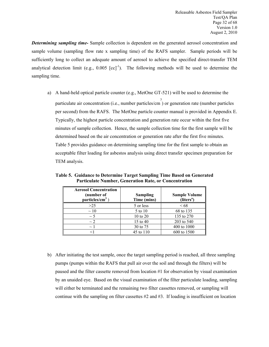*Determining sampling time-* Sample collection is dependent on the generated aerosol concentration and sample volume (sampling flow rate x sampling time) of the RAFS sampler. Sample periods will be sufficiently long to collect an adequate amount of aerosol to achieve the specified direct-transfer TEM analytical detection limit (e.g.,  $0.005$   $[cc]$ <sup>-1</sup>). The following methods will be used to determine the sampling time.

a) A hand-held optical particle counter (e.g., MetOne GT-521) will be used to determine the particulate air concentration (i.e., number particles/cm 3 ) or generation rate (number particles per second) from the RAFS. The MetOne particle counter manual is provided in Appendix E. Typically, the highest particle concentration and generation rate occur within the first five minutes of sample collection. Hence, the sample collection time for the first sample will be determined based on the air concentration or generation rate after the first five minutes. Table 5 provides guidance on determining sampling time for the first sample to obtain an acceptable filter loading for asbestos analysis using direct transfer specimen preparation for TEM analysis.

<span id="page-32-0"></span>

| <b>Aerosol Concentration</b><br>(number of<br>particles/ $cm3$ ) | Sampling<br>Time (mins) | <b>Sample Volume</b><br>(liters <sup>a</sup> ) |
|------------------------------------------------------------------|-------------------------|------------------------------------------------|
| >25                                                              | 5 or less               | <68                                            |
| $\sim$ 10                                                        | 5 to 10                 | 68 to 135                                      |
| $\sim$ 5                                                         | $10 \text{ to } 20$     | 135 to 270                                     |
| $\sim$ 2                                                         | 15 to 40                | 203 to 540                                     |
| $\sim$                                                           | 30 to 75                | 400 to 1000                                    |
|                                                                  | 45 to 110               | 600 to 1500                                    |

**Table 5. Guidance to Determine Target Sampling Time Based on Generated Particulate Number, Generation Rate, or Concentration**

b) After initiating the test sample, once the target sampling period is reached, all three sampling pumps (pumps within the RAFS that pull air over the soil and through the filters) will be paused and the filter cassette removed from location #1 for observation by visual examination by an unaided eye. Based on the visual examination of the filter particulate loading, sampling will either be terminated and the remaining two filter cassettes removed, or sampling will continue with the sampling on filter cassettes #2 and #3. If loading is insufficient on location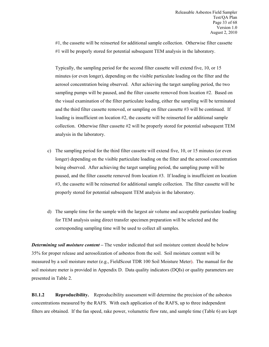#1, the cassette will be reinserted for additional sample collection. Otherwise filter cassette #1 will be properly stored for potential subsequent TEM analysis in the laboratory.

Typically, the sampling period for the second filter cassette will extend five, 10, or 15 minutes (or even longer), depending on the visible particulate loading on the filter and the aerosol concentration being observed. After achieving the target sampling period, the two sampling pumps will be paused, and the filter cassette removed from location #2. Based on the visual examination of the filter particulate loading, either the sampling will be terminated and the third filter cassette removed, or sampling on filter cassette #3 will be continued. If loading is insufficient on location #2, the cassette will be reinserted for additional sample collection. Otherwise filter cassette  $#2$  will be properly stored for potential subsequent TEM analysis in the laboratory.

- c) The sampling period for the third filter cassette will extend five, 10, or 15 minutes (or even longer) depending on the visible particulate loading on the filter and the aerosol concentration being observed. After achieving the target sampling period, the sampling pump will be paused, and the filter cassette removed from location #3. If loading is insufficient on location #3, the cassette will be reinserted for additional sample collection. The filter cassette will be properly stored for potential subsequent TEM analysis in the laboratory.
- d) The sample time for the sample with the largest air volume and acceptable particulate loading for TEM analysis using direct transfer specimen preparation will be selected and the corresponding sampling time will be used to collect all samples.

*Determining soil moisture content* – The vendor indicated that soil moisture content should be below 35% for proper release and aerosolization of asbestos from the soil. Soil moisture content will be measured by a soil moisture meter (e.g., FieldScout TDR 100 Soil Moisture Meter). The manual for the soil moisture meter is provided in Appendix D. Data quality indicators (DQIs) or quality parameters are presented in Table 2.

<span id="page-33-0"></span>**B1.1.2 Reproducibility.** Reproducibility assessment will determine the precision of the asbestos concentrations measured by the RAFS. With each application of the RAFS, up to three independent filters are obtained. If the fan speed, rake power, volumetric flow rate, and sample time (Table 6) are kept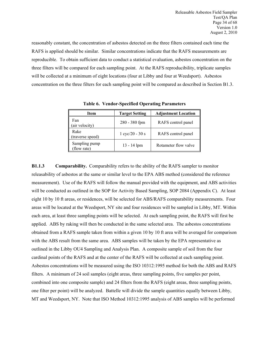reasonably constant, the concentration of asbestos detected on the three filters contained each time the RAFS is applied should be similar. Similar concentrations indicate that the RAFS measurements are reproducible. To obtain sufficient data to conduct a statistical evaluation, asbestos concentration on the three filters will be compared for each sampling point. At the RAFS reproducibility, triplicate samples will be collected at a minimum of eight locations (four at Libby and four at Weedsport). Asbestos concentration on the three filters for each sampling point will be compared as described in Section B1.3.

| Item                        | <b>Target Setting</b>             | <b>Adjustment Location</b> |
|-----------------------------|-----------------------------------|----------------------------|
| Fan<br>(air velocity)       | 280 - 380 fpm                     | RAFS control panel         |
| Rake<br>(traverse speed)    | $1 \text{ cyc}/20 - 30 \text{ s}$ | RAFS control panel         |
| Sampling pump<br>flow rate) | $13 - 14$ lpm                     | Rotameter flow valve       |

<span id="page-34-1"></span>**Table 6. Vendor-Specified Operating Parameters**

<span id="page-34-0"></span>**B1.1.3 Comparability.** Comparability refers to the ability of the RAFS sampler to monitor releasability of asbestos at the same or similar level to the EPA ABS method (considered the reference measurement). Use of the RAFS will follow the manual provided with the equipment, and ABS activities will be conducted as outlined in the SOP for Activity Based Sampling, SOP 2084 (Appendix C). At least eight 10 by 10 ft areas, or residences, will be selected for ABS/RAFS comparability measurements. Four areas will be located at the Weedsport, NY site and four residences will be sampled in Libby, MT. Within each area, at least three sampling points will be selected. At each sampling point, the RAFS will first be applied. ABS by raking will then be conducted in the same selected area. The asbestos concentrations obtained from a RAFS sample taken from within a given 10 by 10 ft area will be averaged for comparison with the ABS result from the same area. ABS samples will be taken by the EPA representative as outlined in the Libby OU4 Sampling and Analysis Plan. A composite sample of soil from the four cardinal points of the RAFS and at the center of the RAFS will be collected at each sampling point. Asbestos concentrations will be measured using the ISO 10312:1995 method for both the ABS and RAFS filters. A minimum of 24 soil samples (eight areas, three sampling points, five samples per point, combined into one composite sample) and 24 filters from the RAFS (eight areas, three sampling points, one filter per point) will be analyzed. Battelle will divide the sample quantities equally between Libby, MT and Weedsport, NY. Note that ISO Method 10312:1995 analysis of ABS samples will be performed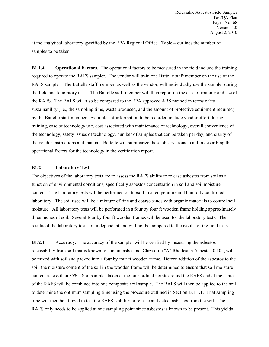at the analytical laboratory specified by the EPA Regional Office. Table 4 outlines the number of samples to be taken.

<span id="page-35-0"></span>**B1.1.4 Operational Factors.** The operational factors to be measured in the field include the training required to operate the RAFS sampler. The vendor will train one Battelle staff member on the use of the RAFS sampler. The Battelle staff member, as well as the vendor, will individually use the sampler during the field and laboratory tests. The Battelle staff member will then report on the ease of training and use of the RAFS. The RAFS will also be compared to the EPA approved ABS method in terms of its sustainability (i.e., the sampling time, waste produced, and the amount of protective equipment required) by the Battelle staff member. Examples of information to be recorded include vendor effort during training, ease of technology use, cost associated with maintenance of technology, overall convenience of the technology, safety issues of technology, number of samples that can be taken per day, and clarity of the vendor instructions and manual. Battelle will summarize these observations to aid in describing the operational factors for the technology in the verification report.

#### <span id="page-35-1"></span>**B1.2 Laboratory Test**

The objectives of the laboratory tests are to assess the RAFS ability to release asbestos from soil as a function of environmental conditions, specifically asbestos concentration in soil and soil moisture content. The laboratory tests will be performed on topsoil in a temperature and humidity controlled laboratory. The soil used will be a mixture of fine and coarse sands with organic materials to control soil moisture. All laboratory tests will be performed in a four by four ft wooden frame holding approximately three inches of soil. Several four by four ft wooden frames will be used for the laboratory tests. The results of the laboratory tests are independent and will not be compared to the results of the field tests.

<span id="page-35-2"></span>**B1.2.1** Accuracy**.** The accuracy of the sampler will be verified by measuring the asbestos releasability from soil that is known to contain asbestos. Chrysotile "A" Rhodesian Asbestos 0.10 g will be mixed with soil and packed into a four by four ft wooden frame. Before addition of the asbestos to the soil, the moisture content of the soil in the wooden frame will be determined to ensure that soil moisture content is less than 35%. Soil samples taken at the four ordinal points around the RAFS and at the center of the RAFS will be combined into one composite soil sample. The RAFS will then be applied to the soil to determine the optimum sampling time using the procedure outlined in Section B.1.1.1. That sampling time will then be utilized to test the RAFS's ability to release and detect asbestos from the soil. The RAFS only needs to be applied at one sampling point since asbestos is known to be present. This yields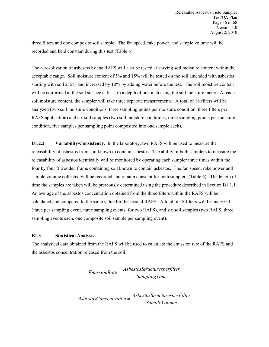three filters and one composite soil sample. The fan speed, rake power, and sample volume will be recorded and held constant during this test (Table 6).

The aerosolization of asbestos by the RAFS will also be tested at varying soil moisture content within the acceptable range. Soil moisture content of 5% and 15% will be tested on the soil amended with asbestos starting with soil at 5% and increased by 10% by adding water before the test. The soil moisture content will be confirmed at the soil surface at least to a depth of one inch using the soil moisture meter. At each soil moisture content, the sampler will take three separate measurements. A total of 18 filters will be analyzed (two soil moisture conditions, three sampling points per moisture condition, three filters per RAFS application) and six soil samples (two soil moisture conditions, three sampling points per moisture condition, five samples per sampling point composited into one sample each).

<span id="page-36-0"></span>**B1.2.2 Variability/Consistency.** In the laboratory, two RAFS will be used to measure the releasability of asbestos from soil known to contain asbestos. The ability of both samplers to measure the releasability of asbestos identically will be monitored by operating each sampler three times within the four by four ft wooden frame containing soil known to contain asbestos. The fan speed, rake power and sample volume collected will be recorded and remain constant for both samplers (Table 6). The length of time the samples are taken will be previously determined using the procedure described in Section B1.1.1. An average of the asbestos concentration obtained from the three filters within the RAFS will be calculated and compared to the same value for the second RAFS. A total of 18 filters will be analyzed (three per sampling event, three sampling events, for two RAFS), and six soil samples (two RAFS, three sampling events each, one composite soil sample per sampling event).

#### **B1.3 Statistical Analysis**

The analytical data obtained from the RAFS will be used to calculate the emission rate of the RAFS and the asbestos concentration released from the soil.

> <span id="page-36-1"></span>*SamplingTime AsbestosStructuresperfilter EmissionRate* <sup>=</sup>

*SampleVolume AsbestosStructuresperFilter AsbestosConcentration* <sup>=</sup>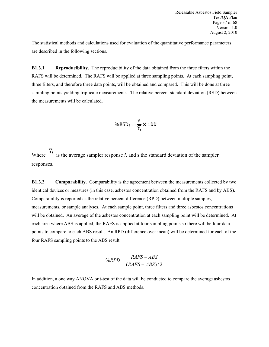The statistical methods and calculations used for evaluation of the quantitative performance parameters are described in the following sections.

<span id="page-37-0"></span>**B1.3.1 Reproducibility.** The reproducibility of the data obtained from the three filters within the RAFS will be determined. The RAFS will be applied at three sampling points. At each sampling point, three filters, and therefore three data points, will be obtained and compared. This will be done at three sampling points yielding triplicate measurements. The relative percent standard deviation (RSD) between the measurements will be calculated.

$$
\%RSD_i = \frac{s}{\overline{Y}_i} \times 100
$$

Where  $Y_i$  is the average sampler response *i*, and **s** the standard deviation of the sampler responses.

<span id="page-37-1"></span>**B1.3.2** Comparability. Comparability is the agreement between the measurements collected by two identical devices or measures (in this case, asbestos concentration obtained from the RAFS and by ABS). Comparability is reported as the relative percent difference (RPD) between multiple samples, measurements, or sample analyses. At each sample point, three filters and three asbestos concentrations will be obtained. An average of the asbestos concentration at each sampling point will be determined. At each area where ABS is applied, the RAFS is applied at four sampling points so there will be four data points to compare to each ABS result. An RPD (difference over mean) will be determined for each of the four RAFS sampling points to the ABS result.

$$
\%RPD = \frac{RAFS - ABS}{(RAFS + ABS)/2}
$$

In addition, a one way ANOVA or t-test of the data will be conducted to compare the average asbestos concentration obtained from the RAFS and ABS methods.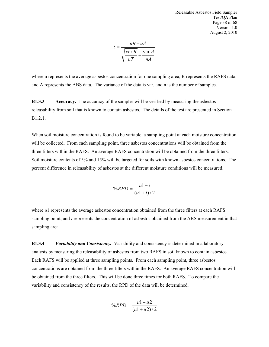Releasable Asbestos Field Sampler Test/QA Plan Page 38 of 68 Version 1.0 August 2, 2010

$$
t = \frac{uR - uA}{\sqrt{\frac{\text{var }R}{nT} + \frac{\text{var }A}{nA}}}
$$

where u represents the average asbestos concentration for one sampling area, R represents the RAFS data, and A represents the ABS data. The variance of the data is var, and n is the number of samples.

<span id="page-38-0"></span>**B1.3.3 Accuracy.** The accuracy of the sampler will be verified by measuring the asbestos releasability from soil that is known to contain asbestos. The details of the test are presented in Section B1.2.1.

When soil moisture concentration is found to be variable, a sampling point at each moisture concentration will be collected. From each sampling point, three asbestos concentrations will be obtained from the three filters within the RAFS. An average RAFS concentration will be obtained from the three filters. Soil moisture contents of 5% and 15% will be targeted for soils with known asbestos concentrations. The percent difference in releasability of asbestos at the different moisture conditions will be measured.

<span id="page-38-1"></span>
$$
\%RPD = \frac{u1 - i}{(u1 + i)/2}
$$

where *u*1 represents the average asbestos concentration obtained from the three filters at each RAFS sampling point, and *i* represents the concentration of asbestos obtained from the ABS measurement in that sampling area.

**B1.3.4** *Variability and Consistency.* Variability and consistency is determined in a laboratory analysis by measuring the releasability of asbestos from two RAFS in soil known to contain asbestos. Each RAFS will be applied at three sampling points. From each sampling point, three asbestos concentrations are obtained from the three filters within the RAFS. An average RAFS concentration will be obtained from the three filters. This will be done three times for both RAFS. To compare the variability and consistency of the results, the RPD of the data will be determined.

$$
\%RPD = \frac{u1 - u2}{(u1 + u2)/2}
$$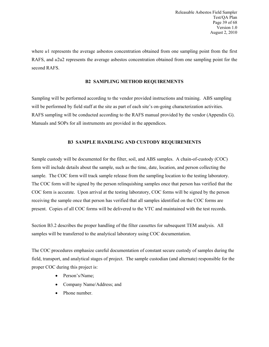where *u*1 represents the average asbestos concentration obtained from one sampling point from the first RAFS, and *u*2u2 represents the average asbestos concentration obtained from one sampling point for the second RAFS.

#### <span id="page-39-1"></span><span id="page-39-0"></span>**B2 SAMPLING METHOD REQUIREMENTS**

Sampling will be performed according to the vendor provided instructions and training. ABS sampling will be performed by field staff at the site as part of each site's on-going characterization activities. RAFS sampling will be conducted according to the RAFS manual provided by the vendor (Appendix G). Manuals and SOPs for all instruments are provided in the appendices.

#### **B3 SAMPLE HANDLING AND CUSTODY REQUIREMENTS**

Sample custody will be documented for the filter, soil, and ABS samples. A chain-of-custody (COC) form will include details about the sample, such as the time, date, location, and person collecting the sample. The COC form will track sample release from the sampling location to the testing laboratory. The COC form will be signed by the person relinquishing samples once that person has verified that the COC form is accurate. Upon arrival at the testing laboratory, COC forms will be signed by the person receiving the sample once that person has verified that all samples identified on the COC forms are present. Copies of all COC forms will be delivered to the VTC and maintained with the test records.

Section B3.2 describes the proper handling of the filter cassettes for subsequent TEM analysis. All samples will be transferred to the analytical laboratory using COC documentation.

The COC procedures emphasize careful documentation of constant secure custody of samples during the field, transport, and analytical stages of project. The sample custodian (and alternate) responsible for the proper COC during this project is:

- Person's/Name;
- Company Name/Address; and
- Phone number.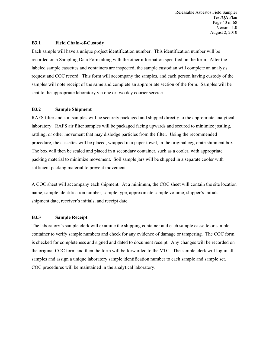Releasable Asbestos Field Sampler Test/QA Plan Page 40 of 68 Version 1.0 August 2, 2010

#### <span id="page-40-0"></span>**B3.1 Field Chain-of-Custody**

Each sample will have a unique project identification number. This identification number will be recorded on a Sampling Data Form along with the other information specified on the form. After the labeled sample cassettes and containers are inspected, the sample custodian will complete an analysis request and COC record. This form will accompany the samples, and each person having custody of the samples will note receipt of the same and complete an appropriate section of the form. Samples will be sent to the appropriate laboratory via one or two day courier service.

#### <span id="page-40-1"></span>**B3.2 Sample Shipment**

RAFS filter and soil samples will be securely packaged and shipped directly to the appropriate analytical laboratory. RAFS air filter samples will be packaged facing upwards and secured to minimize jostling, rattling, or other movement that may dislodge particles from the filter. Using the recommended procedure, the cassettes will be placed, wrapped in a paper towel, in the original egg-crate shipment box. The box will then be sealed and placed in a secondary container, such as a cooler, with appropriate packing material to minimize movement. Soil sample jars will be shipped in a separate cooler with sufficient packing material to prevent movement.

A COC sheet will accompany each shipment. At a minimum, the COC sheet will contain the site location name, sample identification number, sample type, approximate sample volume, shipper's initials, shipment date, receiver's initials, and receipt date.

#### <span id="page-40-2"></span>**B3.3 Sample Receipt**

The laboratory's sample clerk will examine the shipping container and each sample cassette or sample container to verify sample numbers and check for any evidence of damage or tampering. The COC form is checked for completeness and signed and dated to document receipt. Any changes will be recorded on the original COC form and then the form will be forwarded to the VTC. The sample clerk will log in all samples and assign a unique laboratory sample identification number to each sample and sample set. COC procedures will be maintained in the analytical laboratory.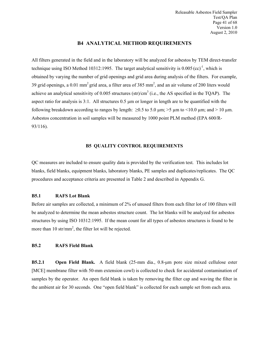#### <span id="page-41-0"></span>**B4 ANALYTICAL METHOD REQUIREMENTS**

All filters generated in the field and in the laboratory will be analyzed for asbestos by TEM direct-transfer technique using ISO Method 10312:1995. The target analytical sensitivity is  $0.005$  (cc)<sup>-1</sup>, which is obtained by varying the number of grid openings and grid area during analysis of the filters. For example, 39 grid openings, a 0.01 mm<sup>2</sup> grid area, a filter area of 385 mm<sup>2</sup>, and an air volume of 200 liters would achieve an analytical sensitivity of 0.005 structures (str)/cm<sup>3</sup> (i.e., the AS specified in the TQAP). The aspect ratio for analysis is 3:1. All structures 0.5 µm or longer in length are to be quantified with the following breakdown according to ranges by length:  $\geq 0.5$  to 5.0  $\mu$ m;  $>$ 5  $\mu$ m to <10.0  $\mu$ m; and > 10  $\mu$ m. Asbestos concentration in soil samples will be measured by 1000 point PLM method (EPA 600/R-93/116).

#### <span id="page-41-2"></span><span id="page-41-1"></span>**B5 QUALITY CONTROL REQUIREMENTS**

QC measures are included to ensure quality data is provided by the verification test. This includes lot blanks, field blanks, equipment blanks, laboratory blanks, PE samples and duplicates/replicates. The QC procedures and acceptance criteria are presented in Table 2 and described in Appendix G.

#### **B5.1 RAFS Lot Blank**

Before air samples are collected, a minimum of 2% of unused filters from each filter lot of 100 filters will be analyzed to determine the mean asbestos structure count. The lot blanks will be analyzed for asbestos structures by using ISO 10312:1995. If the mean count for all types of asbestos structures is found to be more than 10 str/mm<sup>2</sup>, the filter lot will be rejected.

#### <span id="page-41-3"></span>**B5.2 RAFS Field Blank**

<span id="page-41-4"></span>**B5.2.1 Open Field Blank.** A field blank (25-mm dia., 0.8-μm pore size mixed cellulose ester [MCE] membrane filter with 50-mm extension cowl) is collected to check for accidental contamination of samples by the operator. An open field blank is taken by removing the filter cap and waving the filter in the ambient air for 30 seconds. One "open field blank" is collected for each sample set from each area.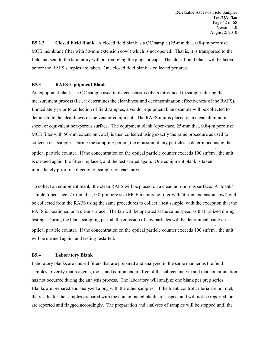<span id="page-42-0"></span>**B5.2.2 Closed Field Blank.** A closed field blank is a QC sample (25-mm dia., 0.8-μm pore size MCE membrane filter with 50-mm extension cowl) which is not opened. That is, it is transported to the field and sent to the laboratory without removing the plugs or caps. The closed field blank will be taken before the RAFS samples are taken. One closed field blank is collected per area.

#### <span id="page-42-1"></span>**B5.3 RAFS Equipment Blank**

An equipment blank is a QC sample used to detect asbestos fibers introduced to samples during the measurement process (i.e., it determines the cleanliness and decontamination effectiveness of the RAFS). Immediately prior to collection of field samples, a vendor equipment blank sample will be collected to demonstrate the cleanliness of the vendor equipment. The RAFS unit is placed on a clean aluminum sheet, or equivalent non-porous surface. The equipment blank (open-face, 25-mm dia., 0.8-um pore size MCE filter with 50-mm extension cowl) is then collected using exactly the same procedure as used to collect a test sample. During the sampling period, the emission of any particles is determined using the optical particle counter. If the concentration on the optical particle counter exceeds 100 str/cm 3 , the unit is cleaned again, the filters replaced, and the test started again. One equipment blank is taken immediately prior to collection of samples on each area.

To collect an equipment blank, the clean RAFS will be placed on a clean non-porous surface. A 'blank' sample (open-face, 25-mm dia., 0.8-μm pore size MCE membrane filter with 50-mm extension cowl) will be collected from the RAFS using the same procedures to collect a test sample, with the exception that the RAFS is positioned on a clean surface. The fan will be operated at the same speed as that utilized during testing. During the blank sampling period, the emission of any particles will be determined using an optical particle counter. If the concentration on the optical particle counter exceeds 100 str/cm 3 , the unit will be cleaned again, and testing restarted.

#### <span id="page-42-2"></span>**B5.4 Laboratory Blank**

Laboratory blanks are unused filters that are prepared and analyzed in the same manner as the field samples to verify that reagents, tools, and equipment are free of the subject analyte and that contamination has not occurred during the analysis process. The laboratory will analyze one blank per prep series. Blanks are prepared and analyzed along with the other samples. If the blank control criteria are not met, the results for the samples prepared with the contaminated blank are suspect and will not be reported, or are reported and flagged accordingly. The preparation and analyses of samples will be stopped until the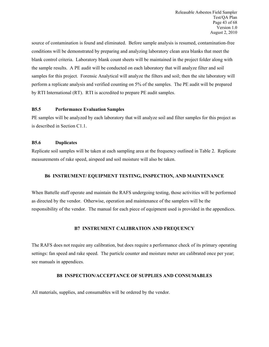source of contamination is found and eliminated. Before sample analysis is resumed, contamination-free conditions will be demonstrated by preparing and analyzing laboratory clean area blanks that meet the blank control criteria. Laboratory blank count sheets will be maintained in the project folder along with the sample results. A PE audit will be conducted on each laboratory that will analyze filter and soil samples for this project. Forensic Analytical will analyze the filters and soil; then the site laboratory will perform a replicate analysis and verified counting on 5% of the samples. The PE audit will be prepared by RTI International (RT). RTI is accredited to prepare PE audit samples.

#### <span id="page-43-0"></span>**B5.5 Performance Evaluation Samples**

PE samples will be analyzed by each laboratory that will analyze soil and filter samples for this project as is described in Section C1.1.

#### <span id="page-43-1"></span>**B5.6 Duplicates**

Replicate soil samples will be taken at each sampling area at the frequency outlined in Table 2. Replicate measurements of rake speed, airspeed and soil moisture will also be taken.

#### **B6 INSTRUMENT/ EQUIPMENT TESTING, INSPECTION, AND MAINTENANCE**

When Battelle staff operate and maintain the RAFS undergoing testing, those activities will be performed as directed by the vendor. Otherwise, operation and maintenance of the samplers will be the responsibility of the vendor. The manual for each piece of equipment used is provided in the appendices.

#### <span id="page-43-4"></span><span id="page-43-3"></span><span id="page-43-2"></span>**B7 INSTRUMENT CALIBRATION AND FREQUENCY**

The RAFS does not require any calibration, but does require a performance check of its primary operating settings: fan speed and rake speed. The particle counter and moisture meter are calibrated once per year; see manuals in appendices.

#### **B8 INSPECTION/ACCEPTANCE OF SUPPLIES AND CONSUMABLES**

All materials, supplies, and consumables will be ordered by the vendor.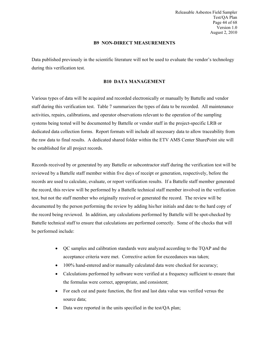<span id="page-44-0"></span>Releasable Asbestos Field Sampler Test/QA Plan Page 44 of 68 Version 1.0 August 2, 2010

#### **B9 NON-DIRECT MEASUREMENTS**

Data published previously in the scientific literature will not be used to evaluate the vendor's technology during this verification test.

#### <span id="page-44-1"></span>**B10 DATA MANAGEMENT**

Various types of data will be acquired and recorded electronically or manually by Battelle and vendor staff during this verification test. Table 7 summarizes the types of data to be recorded. All maintenance activities, repairs, calibrations, and operator observations relevant to the operation of the sampling systems being tested will be documented by Battelle or vendor staff in the project-specific LRB or dedicated data collection forms. Report formats will include all necessary data to allow traceability from the raw data to final results. A dedicated shared folder within the ETV AMS Center SharePoint site will be established for all project records.

Records received by or generated by any Battelle or subcontractor staff during the verification test will be reviewed by a Battelle staff member within five days of receipt or generation, respectively, before the records are used to calculate, evaluate, or report verification results. If a Battelle staff member generated the record, this review will be performed by a Battelle technical staff member involved in the verification test, but not the staff member who originally received or generated the record. The review will be documented by the person performing the review by adding his/her initials and date to the hard copy of the record being reviewed. In addition, any calculations performed by Battelle will be spot-checked by Battelle technical staff to ensure that calculations are performed correctly. Some of the checks that will be performed include:

- QC samples and calibration standards were analyzed according to the TQAP and the acceptance criteria were met. Corrective action for exceedances was taken;
- 100% hand-entered and/or manually calculated data were checked for accuracy;
- Calculations performed by software were verified at a frequency sufficient to ensure that the formulas were correct, appropriate, and consistent;
- For each cut and paste function, the first and last data value was verified versus the source data;
- Data were reported in the units specified in the test/QA plan;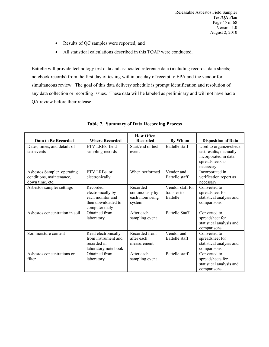- Results of QC samples were reported; and
- All statistical calculations described in this TQAP were conducted.

Battelle will provide technology test data and associated reference data (including records; data sheets; notebook records) from the first day of testing within one day of receipt to EPA and the vendor for simultaneous review. The goal of this data delivery schedule is prompt identification and resolution of any data collection or recording issues. These data will be labeled as preliminary and will not have had a QA review before their release.

|                                                                           |                                                                                           | <b>How Often</b>                                         |                                                    |                                                                                                          |
|---------------------------------------------------------------------------|-------------------------------------------------------------------------------------------|----------------------------------------------------------|----------------------------------------------------|----------------------------------------------------------------------------------------------------------|
| Data to Be Recorded                                                       | <b>Where Recorded</b>                                                                     | <b>Recorded</b>                                          | By Whom                                            | <b>Disposition of Data</b>                                                                               |
| Dates, times, and details of<br>test events                               | ETV LRBs, field<br>sampling records                                                       | Start/end of test<br>event                               | Battelle staff                                     | Used to organize/check<br>test results; manually<br>incorporated in data<br>spreadsheets as<br>necessary |
| Asbestos Sampler operating<br>conditions, maintenance,<br>down time, etc. | ETV LRBs, or<br>electronically                                                            | When performed                                           | Vendor and<br>Battelle staff                       | Incorporated in<br>verification report as<br>necessary                                                   |
| Asbestos sampler settings                                                 | Recorded<br>electronically by<br>each monitor and<br>then downloaded to<br>computer daily | Recorded<br>continuously by<br>each monitoring<br>system | Vendor staff for<br>transfer to<br><b>Battelle</b> | Converted to<br>spreadsheet for<br>statistical analysis and<br>comparisons                               |
| Asbestos concentration in soil                                            | Obtained from<br>laboratory                                                               | After each<br>sampling event                             | <b>Battelle Staff</b>                              | Converted to<br>spreadsheet for<br>statistical analysis and<br>comparisons                               |
| Soil moisture content                                                     | Read electronically<br>from instrument and<br>recorded in<br>laboratory note book         | Recorded from<br>after each<br>measurement               | Vendor and<br>Battelle staff                       | Converted to<br>spreadsheet for<br>statistical analysis and<br>comparisons                               |
| Asbestos concentrations on<br>filter                                      | Obtained from<br>laboratory                                                               | After each<br>sampling event                             | Battelle staff                                     | Converted to<br>spreadsheets for<br>statistical analysis and<br>comparisons                              |

#### <span id="page-45-0"></span>**Table 7. Summary of Data Recording Process**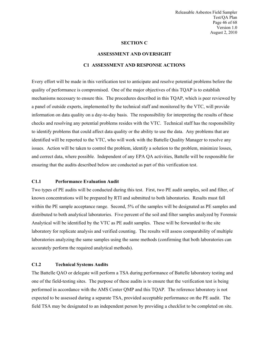<span id="page-46-1"></span><span id="page-46-0"></span>Releasable Asbestos Field Sampler Test/QA Plan Page 46 of 68 Version 1.0 August 2, 2010

#### **SECTION C**

# **ASSESSMENT AND OVERSIGHT C1 ASSESSMENT AND RESPONSE ACTIONS**

Every effort will be made in this verification test to anticipate and resolve potential problems before the quality of performance is compromised. One of the major objectives of this TQAP is to establish mechanisms necessary to ensure this. The procedures described in this TQAP, which is peer reviewed by a panel of outside experts, implemented by the technical staff and monitored by the VTC, will provide information on data quality on a day-to-day basis. The responsibility for interpreting the results of these checks and resolving any potential problems resides with the VTC. Technical staff has the responsibility to identify problems that could affect data quality or the ability to use the data. Any problems that are identified will be reported to the VTC, who will work with the Battelle Quality Manager to resolve any issues. Action will be taken to control the problem, identify a solution to the problem, minimize losses, and correct data, where possible. Independent of any EPA QA activities, Battelle will be responsible for ensuring that the audits described below are conducted as part of this verification test.

#### <span id="page-46-2"></span>**C1.1 Performance Evaluation Audit**

Two types of PE audits will be conducted during this test. First, two PE audit samples, soil and filter, of known concentrations will be prepared by RTI and submitted to both laboratories. Results must fall within the PE sample acceptance range. Second, 5% of the samples will be designated as PE samples and distributed to both analytical laboratories. Five percent of the soil and filter samples analyzed by Forensic Analytical will be identified by the VTC as PE audit samples. These will be forwarded to the site laboratory for replicate analysis and verified counting. The results will assess comparability of multiple laboratories analyzing the same samples using the same methods (confirming that both laboratories can accurately perform the required analytical methods).

#### <span id="page-46-3"></span>**C1.2 Technical Systems Audits**

The Battelle QAO or delegate will perform a TSA during performance of Battelle laboratory testing and one of the field-testing sites. The purpose of these audits is to ensure that the verification test is being performed in accordance with the AMS Center QMP and this TQAP. The reference laboratory is not expected to be assessed during a separate TSA, provided acceptable performance on the PE audit. The field TSA may be designated to an independent person by providing a checklist to be completed on site.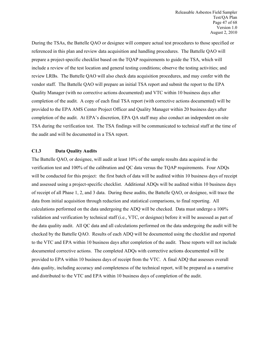During the TSAs, the Battelle QAO or designee will compare actual test procedures to those specified or referenced in this plan and review data acquisition and handling procedures. The Battelle QAO will prepare a project-specific checklist based on the TQAP requirements to guide the TSA, which will include a review of the test location and general testing conditions; observe the testing activities; and review LRBs. The Battelle QAO will also check data acquisition procedures, and may confer with the vendor staff. The Battelle QAO will prepare an initial TSA report and submit the report to the EPA Quality Manager (with no corrective actions documented) and VTC within 10 business days after completion of the audit. A copy of each final TSA report (with corrective actions documented) will be provided to the EPA AMS Center Project Officer and Quality Manager within 20 business days after completion of the audit. At EPA's discretion, EPA QA staff may also conduct an independent on-site TSA during the verification test. The TSA findings will be communicated to technical staff at the time of the audit and will be documented in a TSA report.

#### <span id="page-47-0"></span>**C1.3 Data Quality Audits**

The Battelle QAO, or designee, will audit at least 10% of the sample results data acquired in the verification test and 100% of the calibration and QC data versus the TQAP requirements. Four ADQs will be conducted for this project: the first batch of data will be audited within 10 business days of receipt and assessed using a project-specific checklist. Additional ADQs will be audited within 10 business days of receipt of all Phase 1, 2, and 3 data. During these audits, the Battelle QAO, or designee, will trace the data from initial acquisition through reduction and statistical comparisons, to final reporting. All calculations performed on the data undergoing the ADQ will be checked. Data must undergo a 100% validation and verification by technical staff (i.e., VTC, or designee) before it will be assessed as part of the data quality audit. All QC data and all calculations performed on the data undergoing the audit will be checked by the Battelle QAO. Results of each ADQ will be documented using the checklist and reported to the VTC and EPA within 10 business days after completion of the audit. These reports will not include documented corrective actions. The completed ADQs with corrective actions documented will be provided to EPA within 10 business days of receipt from the VTC. A final ADQ that assesses overall data quality, including accuracy and completeness of the technical report, will be prepared as a narrative and distributed to the VTC and EPA within 10 business days of completion of the audit.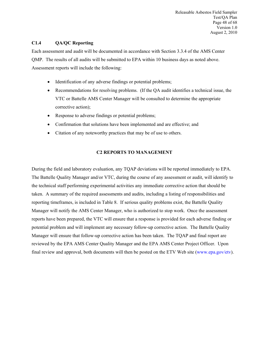Releasable Asbestos Field Sampler Test/QA Plan Page 48 of 68 Version 1.0 August 2, 2010

#### **C1.4 QA/QC Reporting**

Each assessment and audit will be documented in accordance with Section 3.3.4 of the AMS Center QMP. The results of all audits will be submitted to EPA within 10 business days as noted above. Assessment reports will include the following:

- <span id="page-48-0"></span>• Identification of any adverse findings or potential problems;
- Recommendations for resolving problems. (If the QA audit identifies a technical issue, the VTC or Battelle AMS Center Manager will be consulted to determine the appropriate corrective action);
- Response to adverse findings or potential problems;
- Confirmation that solutions have been implemented and are effective; and
- Citation of any noteworthy practices that may be of use to others.

#### <span id="page-48-1"></span>**C2 REPORTS TO MANAGEMENT**

During the field and laboratory evaluation, any TQAP deviations will be reported immediately to EPA. The Battelle Quality Manager and/or VTC, during the course of any assessment or audit, will identify to the technical staff performing experimental activities any immediate corrective action that should be taken. A summary of the required assessments and audits, including a listing of responsibilities and reporting timeframes, is included in Table 8. If serious quality problems exist, the Battelle Quality Manager will notify the AMS Center Manager, who is authorized to stop work. Once the assessment reports have been prepared, the VTC will ensure that a response is provided for each adverse finding or potential problem and will implement any necessary follow-up corrective action. The Battelle Quality Manager will ensure that follow-up corrective action has been taken. The TQAP and final report are reviewed by the EPA AMS Center Quality Manager and the EPA AMS Center Project Officer. Upon final review and approval, both documents will then be posted on the ETV Web site [\(www.epa.gov/etv\)](http://www.epa.gov/etv).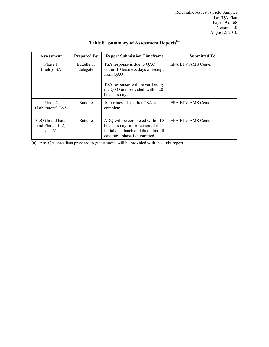| <b>Assessment</b>                                  | <b>Prepared By</b>      | <b>Report Submission Timeframe</b>                                                                                                              | <b>Submitted To</b>       |
|----------------------------------------------------|-------------------------|-------------------------------------------------------------------------------------------------------------------------------------------------|---------------------------|
| Phase 1<br>(Field)TSA                              | Battelle or<br>delegate | TSA response is due to QAO<br>within 10 business days of receipt<br>from QAO                                                                    | <b>EPA ETV AMS Center</b> |
|                                                    |                         | TSA responses will be verified by<br>the QAO and provided within 20<br>business days                                                            |                           |
| Phase 2<br>(Laboratory) TSA                        | Battelle                | 10 business days after TSA is<br>complete                                                                                                       | <b>EPA ETV AMS Center</b> |
| ADQ (Initial batch<br>and Phases 1, 2,<br>and $3)$ | Battelle                | ADQ will be completed within 10<br>business days after receipt of the<br>initial data batch and then after all<br>data for a phase is submitted | <b>EPA ETV AMS Center</b> |

# <span id="page-49-0"></span>**Table 8. Summary of Assessment Reports(a)**

(a) Any QA checklists prepared to guide audits will be provided with the audit report.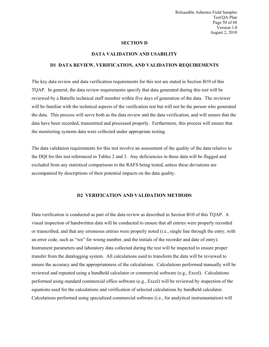<span id="page-50-1"></span>Releasable Asbestos Field Sampler Test/QA Plan Page 50 of 68 Version 1.0 August 2, 2010

#### <span id="page-50-0"></span>**SECTION D**

#### **DATA VALIDATION AND USABILITY**

#### **D1 DATA REVIEW, VERIFICATION, AND VALIDATION REQUIREMENTS**

The key data review and data verification requirements for this test are stated in Section B10 of this TQAP. In general, the data review requirements specify that data generated during this test will be reviewed by a Battelle technical staff member within five days of generation of the data. The reviewer will be familiar with the technical aspects of the verification test but will not be the person who generated the data. This process will serve both as the data review and the data verification, and will ensure that the data have been recorded, transmitted and processed properly. Furthermore, this process will ensure that the monitoring systems data were collected under appropriate testing.

The data validation requirements for this test involve an assessment of the quality of the data relative to the DQI for this test referenced in Tables 2 and 3. Any deficiencies in these data will be flagged and excluded from any statistical comparisons to the RAFS being tested, unless these deviations are accompanied by descriptions of their potential impacts on the data quality.

#### <span id="page-50-2"></span>**D2 VERIFICATION AND VALIDATION METHODS**

Data verification is conducted as part of the data review as described in Section B10 of this TQAP. A visual inspection of handwritten data will be conducted to ensure that all entries were properly recorded or transcribed, and that any erroneous entries were properly noted (i.e., single line through the entry, with an error code, such as "wn" for wrong number, and the initials of the recorder and date of entry). Instrument parameters and laboratory data collected during the test will be inspected to ensure proper transfer from the datalogging system. All calculations used to transform the data will be reviewed to ensure the accuracy and the appropriateness of the calculations. Calculations performed manually will be reviewed and repeated using a handheld calculator or commercial software (e.g., Excel). Calculations performed using standard commercial office software (e.g., Excel) will be reviewed by inspection of the equations used for the calculations and verification of selected calculations by handheld calculator. Calculations performed using specialized commercial software (i.e., for analytical instrumentation) will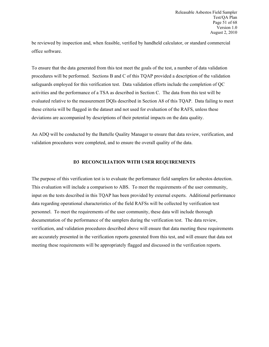be reviewed by inspection and, when feasible, verified by handheld calculator, or standard commercial office software.

To ensure that the data generated from this test meet the goals of the test, a number of data validation procedures will be performed. Sections B and C of this TQAP provided a description of the validation safeguards employed for this verification test. Data validation efforts include the completion of QC activities and the performance of a TSA as described in Section C. The data from this test will be evaluated relative to the measurement DQIs described in Section A8 of this TQAP. Data failing to meet these criteria will be flagged in the dataset and not used for evaluation of the RAFS, unless these deviations are accompanied by descriptions of their potential impacts on the data quality.

An ADQ will be conducted by the Battelle Quality Manager to ensure that data review, verification, and validation procedures were completed, and to ensure the overall quality of the data.

#### <span id="page-51-0"></span>**D3 RECONCILIATION WITH USER REQUIREMENTS**

The purpose of this verification test is to evaluate the performance field samplers for asbestos detection. This evaluation will include a comparison to ABS. To meet the requirements of the user community, input on the tests described in this TQAP has been provided by external experts. Additional performance data regarding operational characteristics of the field RAFSs will be collected by verification test personnel. To meet the requirements of the user community, these data will include thorough documentation of the performance of the samplers during the verification test. The data review, verification, and validation procedures described above will ensure that data meeting these requirements are accurately presented in the verification reports generated from this test, and will ensure that data not meeting these requirements will be appropriately flagged and discussed in the verification reports.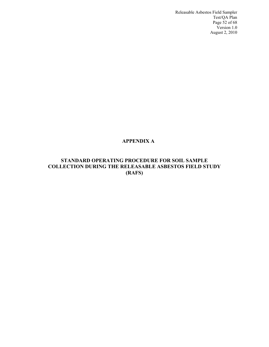Releasable Asbestos Field Sampler Test/QA Plan Page 52 of 68 Version 1.0 August 2, 2010

# <span id="page-52-0"></span>**APPENDIX A**

# **STANDARD OPERATING PROCEDURE FOR SOIL SAMPLE COLLECTION DURING THE RELEASABLE ASBESTOS FIELD STUDY (RAFS)**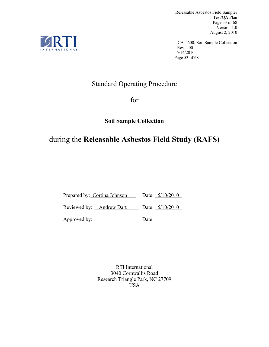Releasable Asbestos Field Sampler Test/QA Plan Page 53 of 68 Version 1.0 August 2, 2010

CAT 600: Soil Sample Collection Rev. #00 5/14/2010 Page 53 of 68

# Standard Operating Procedure

for

# **Soil Sample Collection**

# during the **Releasable Asbestos Field Study (RAFS)**

Prepared by: Cortina Johnson Date: 5/10/2010 Reviewed by: \_Andrew Dart \_\_\_\_ Date: 5/10/2010 Approved by: \_\_\_\_\_\_\_\_\_\_\_\_\_\_\_\_\_ Date: \_\_\_\_\_\_\_\_\_

> RTI International 3040 Cornwallis Road Research Triangle Park, NC 27709 USA

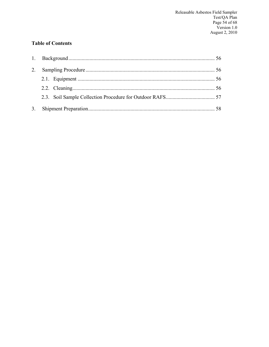# **Table of Contents**

| 2. |  |
|----|--|
|    |  |
|    |  |
|    |  |
|    |  |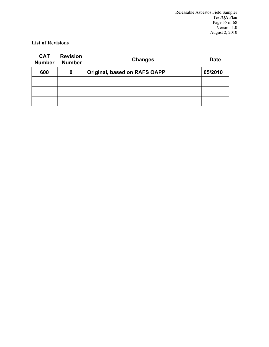# **List of Revisions**

<span id="page-55-0"></span>

| <b>CAT</b><br><b>Number</b> | <b>Revision</b><br><b>Number</b> | <b>Changes</b>               | <b>Date</b> |
|-----------------------------|----------------------------------|------------------------------|-------------|
| 600                         | 0                                | Original, based on RAFS QAPP | 05/2010     |
|                             |                                  |                              |             |
|                             |                                  |                              |             |
|                             |                                  |                              |             |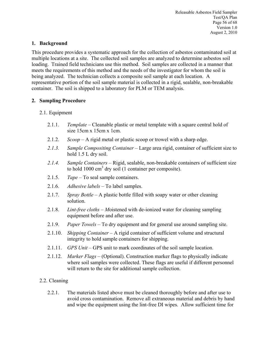# **1. Background**

This procedure provides a systematic approach for the collection of asbestos contaminated soil at multiple locations at a site. The collected soil samples are analyzed to determine asbestos soil loading. Trained field technicians use this method. Soil samples are collected in a manner that meets the requirements of this method and the needs of the investigator for whom the soil is being analyzed. The technician collects a composite soil sample at each location. A representative portion of the soil sample material is collected in a rigid, sealable, non-breakable container. The soil is shipped to a laboratory for PLM or TEM analysis.

# <span id="page-56-0"></span>**2. Sampling Procedure**

# <span id="page-56-1"></span>2.1. Equipment

- 2.1.1. *Template* Cleanable plastic or metal template with a square central hold of size 15cm x 15cm x 1cm.
- 2.1.2. *Scoop* A rigid metal or plastic scoop or trowel with a sharp edge.
- *2.1.3. Sample Compositing Container* Large area rigid, container of sufficient size to hold 1.5 L dry soil.
- *2.1.4. Sample Containers* Rigid, sealable, non-breakable containers of sufficient size to hold  $1000 \text{ cm}^3$  dry soil (1 container per composite).
- 2.1.5. *Tape* To seal sample containers.
- 2.1.6. *Adhesive labels* To label samples.
- 2.1.7. *Spray Bottle* A plastic bottle filled with soapy water or other cleaning solution.
- 2.1.8. *Lint-free cloths M*oistened with de-ionized water for cleaning sampling equipment before and after use.
- 2.1.9. *Paper Towels* To dry equipment and for general use around sampling site.
- 2.1.10. *Shipping Container*  A rigid container of sufficient volume and structural integrity to hold sample containers for shipping.
- 2.1.11. *GPS Unit* GPS unit to mark coordinates of the soil sample location.
- 2.1.12. *Marker Flags*  (Optional). Construction marker flags to physically indicate where soil samples were collected. These flags are useful if different personnel will return to the site for additional sample collection.

# <span id="page-56-2"></span>2.2. Cleaning

2.2.1. The materials listed above must be cleaned thoroughly before and after use to avoid cross contamination. Remove all extraneous material and debris by hand and wipe the equipment using the lint-free DI wipes. Allow sufficient time for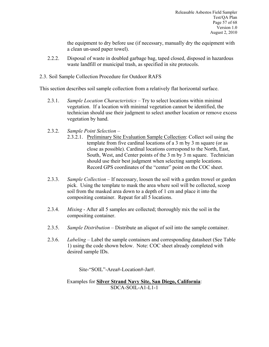the equipment to dry before use (if necessary, manually dry the equipment with a clean un-used paper towel).

- 2.2.2. Disposal of waste in doubled garbage bag, taped closed, disposed in hazardous waste landfill or municipal trash, as specified in site protocols.
- <span id="page-57-0"></span>2.3. Soil Sample Collection Procedure for Outdoor RAFS

This section describes soil sample collection from a relatively flat horizontal surface.

- 2.3.1. *Sample Location Characteristics* Try to select locations within minimal vegetation. If a location with minimal vegetation cannot be identified, the technician should use their judgment to select another location or remove excess vegetation by hand.
- 2.3.2. *Sample Point Selection*
	- 2.3.2.1. Preliminary Site Evaluation Sample Collection: Collect soil using the template from five cardinal locations of a 3 m by 3 m square (or as close as possible). Cardinal locations correspond to the North, East, South, West, and Center points of the 3 m by 3 m square. Technician should use their best judgment when selecting sample locations. Record GPS coordinates of the "center" point on the COC sheet.
- 2.3.3. *Sample Collection* If necessary, loosen the soil with a garden trowel or garden pick. Using the template to mask the area where soil will be collected, scoop soil from the masked area down to a depth of 1 cm and place it into the compositing container. Repeat for all 5 locations.
- 2.3.4. *Mixing* After all 5 samples are collected; thoroughly mix the soil in the compositing container.
- 2.3.5. *Sample Distribution* Distribute an aliquot of soil into the sample container.
- 2.3.6. *Labeling* Label the sample containers and corresponding datasheet (See Table 1) using the code shown below. Note: COC sheet already completed with desired sample IDs.

Site-"SOIL"-Area#-Location#-Jar#.

Examples for **Silver Strand Navy Site, San Diego, California**: SDCA-SOIL-A1-L1-1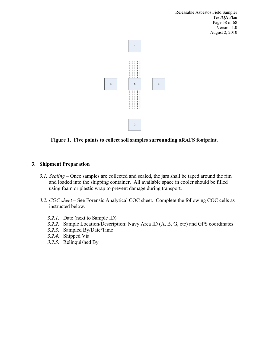Releasable Asbestos Field Sampler Test/QA Plan Page 58 of 68 Version 1.0 August 2, 2010



**Figure 1. Five points to collect soil samples surrounding oRAFS footprint.**

# <span id="page-58-0"></span>**3. Shipment Preparation**

- *3.1. Sealing* Once samples are collected and sealed, the jars shall be taped around the rim and loaded into the shipping container. All available space in cooler should be filled using foam or plastic wrap to prevent damage during transport.
- *3.2. COC sheet* See Forensic Analytical COC sheet. Complete the following COC cells as instructed below.
	- *3.2.1.* Date (next to Sample ID)
	- *3.2.2.* Sample Location/Description: Navy Area ID (A, B, G, etc) and GPS coordinates
	- *3.2.3.* Sampled By/Date/Time
	- *3.2.4.* Shipped Via
	- *3.2.5.* Relinquished By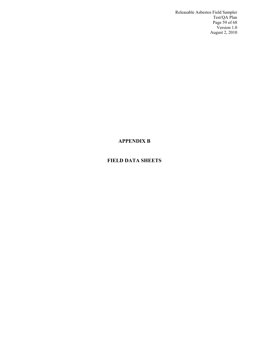Releasable Asbestos Field Sampler Test/QA Plan Page 59 of 68 Version 1.0 August 2, 2010

# <span id="page-59-0"></span>**APPENDIX B**

# **FIELD DATA SHEETS**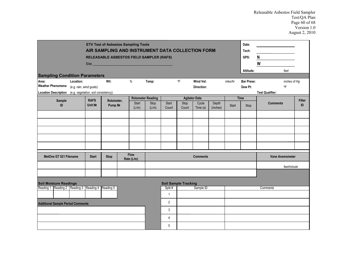| <b>ETV Test of Asbestos Sampling Tools</b><br>Date:<br>AIR SAMPLING AND INSTRUMENT DATA COLLECTION FORM<br>Tech:<br>GPS:<br>RELEASABLE ASBESTOS FIELD SAMPLER (RAFS)<br>Site <b>Site Site Site Site Site Site Site Site Site Site Site Site Site Site Site Site Site Site Site Site Site Site Site Site Site Site Site Site Site Site Site</b><br>Altitude:<br><b>Sampling Condition Parameters</b> |           |                          |                       |  |                           |                          |                     | N<br>W<br>feet              |                         |                   |         |                              |                              |                     |
|-----------------------------------------------------------------------------------------------------------------------------------------------------------------------------------------------------------------------------------------------------------------------------------------------------------------------------------------------------------------------------------------------------|-----------|--------------------------|-----------------------|--|---------------------------|--------------------------|---------------------|-----------------------------|-------------------------|-------------------|---------|------------------------------|------------------------------|---------------------|
| Area:<br><b>Weather Phenomena</b>                                                                                                                                                                                                                                                                                                                                                                   | Location: | (e.g. rain, wind gusts): | RH:                   |  | %                         | Temp:                    |                     | $^{\circ}$ F                | Wind Vel:<br>Direction: |                   | mles/hr | <b>Bar Press:</b><br>Dew Pt: | inches of Hg<br>$^{\circ}$ F |                     |
| Location Description (e.g. vegetation, soil consistency):                                                                                                                                                                                                                                                                                                                                           |           |                          |                       |  |                           |                          |                     |                             |                         |                   |         |                              | <b>Test Qualifier:</b>       |                     |
|                                                                                                                                                                                                                                                                                                                                                                                                     |           | <b>RAFS</b>              |                       |  |                           | <b>Rotometer Reading</b> |                     |                             | <b>Agitator Data</b>    |                   |         | Time                         |                              |                     |
| Sample<br>ID                                                                                                                                                                                                                                                                                                                                                                                        |           | Unit No                  | Rotometer,<br>Pump No |  | Start<br>(L/m)            | Stop<br>(L/m)            | Start<br>Count      | Stop<br>Count               | Cycle<br>Time(s)        | Depth<br>(inches) | Start   | Stop                         | <b>Comments</b>              | <b>Filter</b><br>ID |
|                                                                                                                                                                                                                                                                                                                                                                                                     |           |                          |                       |  |                           |                          |                     |                             |                         |                   |         |                              |                              |                     |
|                                                                                                                                                                                                                                                                                                                                                                                                     |           |                          |                       |  |                           |                          |                     |                             |                         |                   |         |                              |                              |                     |
|                                                                                                                                                                                                                                                                                                                                                                                                     |           |                          |                       |  |                           |                          |                     |                             |                         |                   |         |                              |                              |                     |
| MetOne GT 521 Filename                                                                                                                                                                                                                                                                                                                                                                              |           | <b>Start</b>             | <b>Stop</b>           |  | <b>Flow</b><br>Rate (L/m) |                          |                     |                             | <b>Comments</b>         |                   |         |                              | <b>Vane Anemometer</b>       |                     |
|                                                                                                                                                                                                                                                                                                                                                                                                     |           |                          |                       |  |                           |                          |                     |                             |                         |                   |         |                              | feet/minute                  |                     |
| <b>Soil Moisture Readings</b><br>Reading 1 Reading 2 Reading 3 Reading 4 Reading 5                                                                                                                                                                                                                                                                                                                  |           |                          |                       |  |                           |                          | Split #             | <b>Soil Sample Tracking</b> | Sample ID               |                   |         |                              | Comments                     |                     |
|                                                                                                                                                                                                                                                                                                                                                                                                     |           |                          |                       |  |                           |                          | $\mathbf{1}$        |                             |                         |                   |         |                              |                              |                     |
| <b>Additional Sample Period Comments</b>                                                                                                                                                                                                                                                                                                                                                            |           |                          |                       |  |                           |                          | $\overline{2}$      |                             |                         |                   |         |                              |                              |                     |
|                                                                                                                                                                                                                                                                                                                                                                                                     |           |                          |                       |  |                           |                          | 3<br>$\overline{4}$ |                             |                         |                   |         |                              |                              |                     |
|                                                                                                                                                                                                                                                                                                                                                                                                     |           |                          |                       |  |                           |                          | 5                   |                             |                         |                   |         |                              |                              |                     |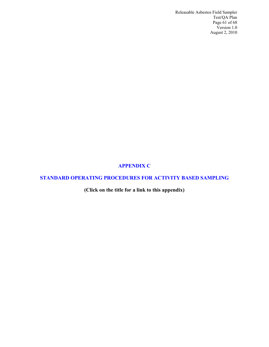Releasable Asbestos Field Sampler Test/QA Plan Page 61 of 68 Version 1.0 August 2, 2010

# <span id="page-61-0"></span>**[APPENDIX C](http://www.battelle.org/productscontracts/etv/appendix%20c_rafs.pdf)**

# **[STANDARD OPERATING PROCEDURES FOR ACTIVITY BASED SAMPLING](http://www.battelle.org/productscontracts/etv/appendix%20c_rafs.pdf)**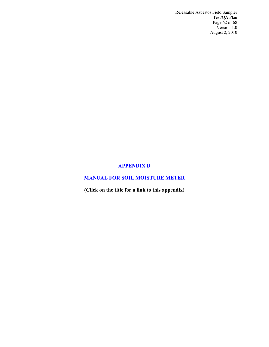Releasable Asbestos Field Sampler Test/QA Plan Page 62 of 68 Version 1.0 August 2, 2010

#### <span id="page-62-0"></span>**[APPENDIX D](http://www.battelle.org/productscontracts/etv/appendix%20d_RAFS.pdf)**

# **[MANUAL FOR SOIL MOISTURE METER](http://www.battelle.org/productscontracts/etv/appendix%20d_RAFS.pdf)**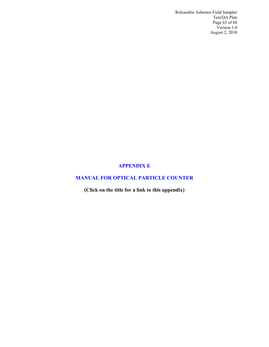Releasable Asbestos Field Sampler Test/QA Plan Page 63 of 68 Version 1.0 August 2, 2010

## <span id="page-63-0"></span>**[APPENDIX E](http://www.battelle.org/productscontracts/etv/appendix%20e_rafs.pdf)**

# **[MANUAL FOR OPTICAL PARTICLE COUNTER](http://www.battelle.org/productscontracts/etv/appendix%20e_rafs.pdf)**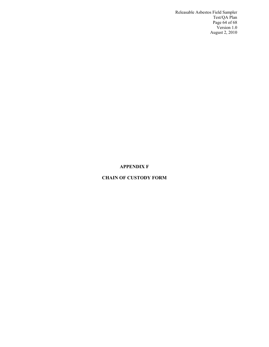Releasable Asbestos Field Sampler Test/QA Plan Page 64 of 68 Version 1.0 August 2, 2010

#### <span id="page-64-0"></span>**APPENDIX F**

## **CHAIN OF CUSTODY FORM**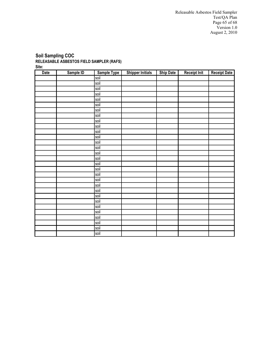#### **Soil Sampling COC RELEASABLE ASBESTOS FIELD SAMPLER (RAFS) Site:**

| <b>Date</b> | Sample ID | <b>Sample Type</b> | <b>Shipper Initials</b> | <b>Ship Date</b> | <b>Receipt Init</b> | <b>Receipt Date</b> |
|-------------|-----------|--------------------|-------------------------|------------------|---------------------|---------------------|
|             |           | soil               |                         |                  |                     |                     |
|             |           | soil               |                         |                  |                     |                     |
|             |           | soil               |                         |                  |                     |                     |
|             |           | soil               |                         |                  |                     |                     |
|             |           | soil               |                         |                  |                     |                     |
|             |           | soil               |                         |                  |                     |                     |
|             |           | soil               |                         |                  |                     |                     |
|             |           | soil               |                         |                  |                     |                     |
|             |           | soil               |                         |                  |                     |                     |
|             |           | soil               |                         |                  |                     |                     |
|             |           | soil               |                         |                  |                     |                     |
|             |           | soil               |                         |                  |                     |                     |
|             |           | soil               |                         |                  |                     |                     |
|             |           | soil               |                         |                  |                     |                     |
|             |           | soil               |                         |                  |                     |                     |
|             |           | soil               |                         |                  |                     |                     |
|             |           | soil               |                         |                  |                     |                     |
|             |           | soil               |                         |                  |                     |                     |
|             |           | soil               |                         |                  |                     |                     |
|             |           | soil               |                         |                  |                     |                     |
|             |           | soil               |                         |                  |                     |                     |
|             |           | soil               |                         |                  |                     |                     |
|             |           | soil               |                         |                  |                     |                     |
|             |           | soil               |                         |                  |                     |                     |
|             |           | soil               |                         |                  |                     |                     |
|             |           | soil               |                         |                  |                     |                     |
|             |           | soil               |                         |                  |                     |                     |
|             |           | soil               |                         |                  |                     |                     |
|             |           | soil               |                         |                  |                     |                     |
|             |           | soil               |                         |                  |                     |                     |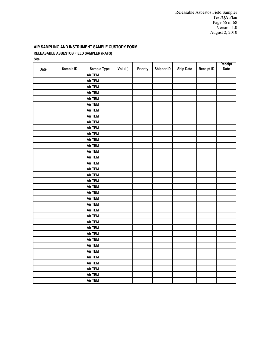Releasable Asbestos Field Sampler Test/QA Plan Page 66 of 68 Version 1.0 August 2, 2010

# **AIR SAMPLING AND INSTRUMENT SAMPLE CUSTODY FORM**

## **RELEASABLE ASBESTOS FIELD SAMPLER (RAFS)**

**Site:** 

|      |           |                |          |          |                   |                  |                   | Receipt |
|------|-----------|----------------|----------|----------|-------------------|------------------|-------------------|---------|
| Date | Sample ID | Sample Type    | Vol. (L) | Priority | <b>Shipper ID</b> | <b>Ship Date</b> | <b>Receipt ID</b> | Date    |
|      |           | <b>Air TEM</b> |          |          |                   |                  |                   |         |
|      |           | Air TEM        |          |          |                   |                  |                   |         |
|      |           | Air TEM        |          |          |                   |                  |                   |         |
|      |           | Air TEM        |          |          |                   |                  |                   |         |
|      |           | <b>Air TEM</b> |          |          |                   |                  |                   |         |
|      |           | <b>Air TEM</b> |          |          |                   |                  |                   |         |
|      |           | Air TEM        |          |          |                   |                  |                   |         |
|      |           | Air TEM        |          |          |                   |                  |                   |         |
|      |           | <b>Air TEM</b> |          |          |                   |                  |                   |         |
|      |           | <b>Air TEM</b> |          |          |                   |                  |                   |         |
|      |           | <b>Air TEM</b> |          |          |                   |                  |                   |         |
|      |           | Air TEM        |          |          |                   |                  |                   |         |
|      |           | <b>Air TEM</b> |          |          |                   |                  |                   |         |
|      |           | <b>Air TEM</b> |          |          |                   |                  |                   |         |
|      |           | <b>Air TEM</b> |          |          |                   |                  |                   |         |
|      |           | <b>Air TEM</b> |          |          |                   |                  |                   |         |
|      |           | <b>Air TEM</b> |          |          |                   |                  |                   |         |
|      |           | <b>Air TEM</b> |          |          |                   |                  |                   |         |
|      |           | <b>Air TEM</b> |          |          |                   |                  |                   |         |
|      |           | <b>Air TEM</b> |          |          |                   |                  |                   |         |
|      |           | <b>Air TEM</b> |          |          |                   |                  |                   |         |
|      |           | <b>Air TEM</b> |          |          |                   |                  |                   |         |
|      |           | <b>Air TEM</b> |          |          |                   |                  |                   |         |
|      |           | <b>Air TEM</b> |          |          |                   |                  |                   |         |
|      |           | <b>Air TEM</b> |          |          |                   |                  |                   |         |
|      |           | <b>Air TEM</b> |          |          |                   |                  |                   |         |
|      |           | <b>Air TEM</b> |          |          |                   |                  |                   |         |
|      |           | <b>Air TEM</b> |          |          |                   |                  |                   |         |
|      |           | Air TEM        |          |          |                   |                  |                   |         |
|      |           | Air TEM        |          |          |                   |                  |                   |         |
|      |           | Air TEM        |          |          |                   |                  |                   |         |
|      |           | Air TEM        |          |          |                   |                  |                   |         |
|      |           | <b>Air TEM</b> |          |          |                   |                  |                   |         |
|      |           | <b>Air TEM</b> |          |          |                   |                  |                   |         |
|      |           | <b>Air TEM</b> |          |          |                   |                  |                   |         |
|      |           | <b>Air TEM</b> |          |          |                   |                  |                   |         |